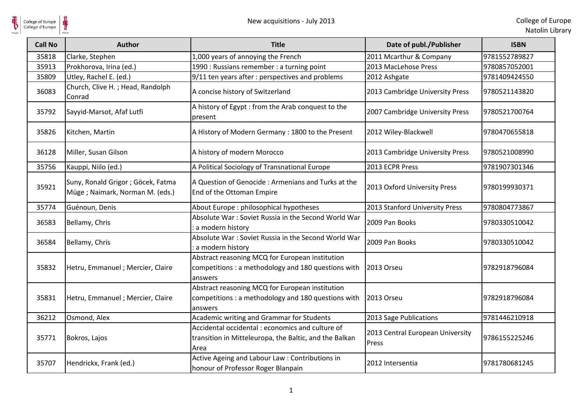$\frac{1}{\frac{1}{\sqrt{2}}}\sum_{\text{National}}$ 

| <b>Call No</b> | <b>Author</b>                                                          | <b>Title</b>                                                                                                       | Date of publ./Publisher                   | <b>ISBN</b>   |
|----------------|------------------------------------------------------------------------|--------------------------------------------------------------------------------------------------------------------|-------------------------------------------|---------------|
| 35818          | Clarke, Stephen                                                        | 1,000 years of annoying the French                                                                                 | 2011 Mcarthur & Company                   | 9781552789827 |
| 35913          | Prokhorova, Irina (ed.)                                                | 1990 : Russians remember : a turning point                                                                         | 2013 MacLehose Press                      | 9780857052001 |
| 35809          | Utley, Rachel E. (ed.)                                                 | 9/11 ten years after : perspectives and problems                                                                   | 2012 Ashgate                              | 9781409424550 |
| 36083          | Church, Clive H.; Head, Randolph<br>Conrad                             | A concise history of Switzerland                                                                                   | 2013 Cambridge University Press           | 9780521143820 |
| 35792          | Sayyid-Marsot, Afaf Lutfi                                              | A history of Egypt : from the Arab conquest to the<br>present                                                      | 2007 Cambridge University Press           | 9780521700764 |
| 35826          | Kitchen, Martin                                                        | A History of Modern Germany: 1800 to the Present                                                                   | 2012 Wiley-Blackwell                      | 9780470655818 |
| 36128          | Miller, Susan Gilson                                                   | A history of modern Morocco                                                                                        | 2013 Cambridge University Press           | 9780521008990 |
| 35756          | Kauppi, Niilo (ed.)                                                    | A Political Sociology of Transnational Europe                                                                      | 2013 ECPR Press                           | 9781907301346 |
| 35921          | Suny, Ronald Grigor ; Göcek, Fatma<br>Müge ; Naimark, Norman M. (eds.) | A Question of Genocide: Armenians and Turks at the<br>End of the Ottoman Empire                                    | 2013 Oxford University Press              | 9780199930371 |
| 35774          | Guénoun, Denis                                                         | About Europe : philosophical hypotheses                                                                            | 2013 Stanford University Press            | 9780804773867 |
| 36583          | Bellamy, Chris                                                         | Absolute War: Soviet Russia in the Second World War<br>a modern history                                            | 2009 Pan Books                            | 9780330510042 |
| 36584          | Bellamy, Chris                                                         | Absolute War: Soviet Russia in the Second World War<br>a modern history                                            | 2009 Pan Books                            | 9780330510042 |
| 35832          | Hetru, Emmanuel ; Mercier, Claire                                      | Abstract reasoning MCQ for European institution<br>competitions : a methodology and 180 questions with<br>answers  | 2013 Orseu                                | 9782918796084 |
| 35831          | Hetru, Emmanuel ; Mercier, Claire                                      | Abstract reasoning MCQ for European institution<br>competitions : a methodology and 180 questions with<br>answers  | 2013 Orseu                                | 9782918796084 |
| 36212          | Osmond, Alex                                                           | Academic writing and Grammar for Students                                                                          | 2013 Sage Publications                    | 9781446210918 |
| 35771          | Bokros, Lajos                                                          | Accidental occidental : economics and culture of<br>transition in Mitteleuropa, the Baltic, and the Balkan<br>Area | 2013 Central European University<br>Press | 9786155225246 |
| 35707          | Hendrickx, Frank (ed.)                                                 | Active Ageing and Labour Law : Contributions in<br>honour of Professor Roger Blanpain                              | 2012 Intersentia                          | 9781780681245 |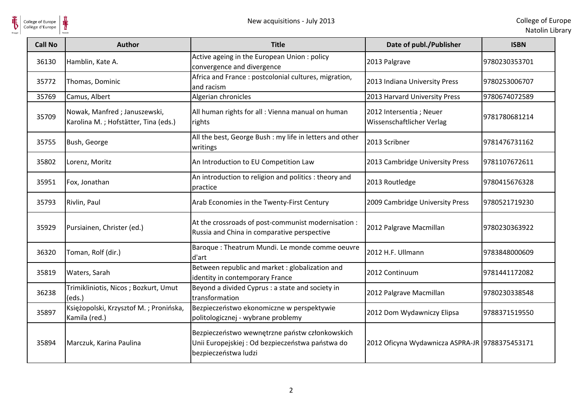

| <b>Call No</b> | Author                                                               | <b>Title</b>                                                                                                               | Date of publ./Publisher                              | <b>ISBN</b>   |
|----------------|----------------------------------------------------------------------|----------------------------------------------------------------------------------------------------------------------------|------------------------------------------------------|---------------|
| 36130          | Hamblin, Kate A.                                                     | Active ageing in the European Union: policy<br>convergence and divergence                                                  | 2013 Palgrave                                        | 9780230353701 |
| 35772          | Thomas, Dominic                                                      | Africa and France : postcolonial cultures, migration,<br>and racism                                                        | 2013 Indiana University Press                        | 9780253006707 |
| 35769          | Camus, Albert                                                        | Algerian chronicles                                                                                                        | 2013 Harvard University Press                        | 9780674072589 |
| 35709          | Nowak, Manfred; Januszewski,<br>Karolina M.; Hofstätter, Tina (eds.) | All human rights for all : Vienna manual on human<br>rights                                                                | 2012 Intersentia; Neuer<br>Wissenschaftlicher Verlag | 9781780681214 |
| 35755          | Bush, George                                                         | All the best, George Bush : my life in letters and other<br>writings                                                       | 2013 Scribner                                        | 9781476731162 |
| 35802          | Lorenz, Moritz                                                       | An Introduction to EU Competition Law                                                                                      | 2013 Cambridge University Press                      | 9781107672611 |
| 35951          | Fox, Jonathan                                                        | An introduction to religion and politics : theory and<br>practice                                                          | 2013 Routledge                                       | 9780415676328 |
| 35793          | Rivlin, Paul                                                         | Arab Economies in the Twenty-First Century                                                                                 | 2009 Cambridge University Press                      | 9780521719230 |
| 35929          | Pursiainen, Christer (ed.)                                           | At the crossroads of post-communist modernisation :<br>Russia and China in comparative perspective                         | 2012 Palgrave Macmillan                              | 9780230363922 |
| 36320          | Toman, Rolf (dir.)                                                   | Baroque: Theatrum Mundi. Le monde comme oeuvre<br>d'art                                                                    | 2012 H.F. Ullmann                                    | 9783848000609 |
| 35819          | Waters, Sarah                                                        | Between republic and market : globalization and<br>identity in contemporary France                                         | 2012 Continuum                                       | 9781441172082 |
| 36238          | Trimikliniotis, Nicos; Bozkurt, Umut<br>(eds.)                       | Beyond a divided Cyprus : a state and society in<br>transformation                                                         | 2012 Palgrave Macmillan                              | 9780230338548 |
| 35897          | Księżopolski, Krzysztof M.; Pronińska,<br>Kamila (red.)              | Bezpieczeństwo ekonomiczne w perspektywie<br>politologicznej - wybrane problemy                                            | 2012 Dom Wydawniczy Elipsa                           | 9788371519550 |
| 35894          | Marczuk, Karina Paulina                                              | Bezpieczeństwo wewnętrzne państw członkowskich<br>Unii Europejskiej : Od bezpieczeństwa państwa do<br>bezpieczeństwa ludzi | 2012 Oficyna Wydawnicza ASPRA-JR 9788375453171       |               |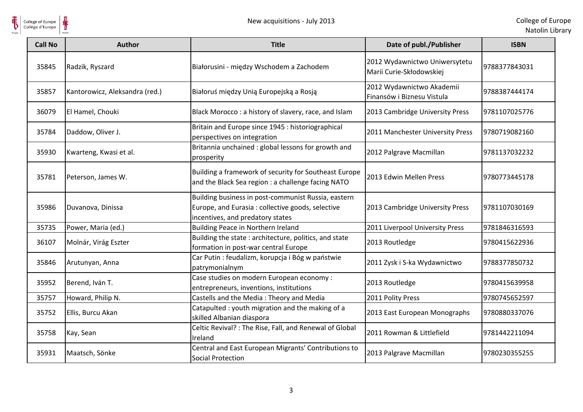

| <b>Call No</b> | <b>Author</b>                  | <b>Title</b>                                                                                                                                | Date of publ./Publisher                                   | <b>ISBN</b>   |
|----------------|--------------------------------|---------------------------------------------------------------------------------------------------------------------------------------------|-----------------------------------------------------------|---------------|
| 35845          | Radzik, Ryszard                | Białorusini - między Wschodem a Zachodem                                                                                                    | 2012 Wydawnictwo Uniwersytetu<br>Marii Curie-Skłodowskiej | 9788377843031 |
| 35857          | Kantorowicz, Aleksandra (red.) | Białoruś między Unią Europejską a Rosją                                                                                                     | 2012 Wydawnictwo Akademii<br>Finansów i Biznesu Vistula   | 9788387444174 |
| 36079          | El Hamel, Chouki               | Black Morocco: a history of slavery, race, and Islam                                                                                        | 2013 Cambridge University Press                           | 9781107025776 |
| 35784          | Daddow, Oliver J.              | Britain and Europe since 1945 : historiographical<br>perspectives on integration                                                            | 2011 Manchester University Press                          | 9780719082160 |
| 35930          | Kwarteng, Kwasi et al.         | Britannia unchained : global lessons for growth and<br>prosperity                                                                           | 2012 Palgrave Macmillan                                   | 9781137032232 |
| 35781          | Peterson, James W.             | Building a framework of security for Southeast Europe<br>and the Black Sea region : a challenge facing NATO                                 | 2013 Edwin Mellen Press                                   | 9780773445178 |
| 35986          | Duvanova, Dinissa              | Building business in post-communist Russia, eastern<br>Europe, and Eurasia: collective goods, selective<br>incentives, and predatory states | 2013 Cambridge University Press                           | 9781107030169 |
| 35735          | Power, Maria (ed.)             | Building Peace in Northern Ireland                                                                                                          | 2011 Liverpool University Press                           | 9781846316593 |
| 36107          | Molnár, Virág Eszter           | Building the state: architecture, politics, and state<br>formation in post-war central Europe                                               | 2013 Routledge                                            | 9780415622936 |
| 35846          | Arutunyan, Anna                | Car Putin : feudalizm, korupcja i Bóg w państwie<br>patrymonialnym                                                                          | 2011 Zysk i S-ka Wydawnictwo                              | 9788377850732 |
| 35952          | Berend, Iván T.                | Case studies on modern European economy :<br>entrepreneurs, inventions, institutions                                                        | 2013 Routledge                                            | 9780415639958 |
| 35757          | Howard, Philip N.              | Castells and the Media: Theory and Media                                                                                                    | 2011 Polity Press                                         | 9780745652597 |
| 35752          | Ellis, Burcu Akan              | Catapulted : youth migration and the making of a<br>skilled Albanian diaspora                                                               | 2013 East European Monographs                             | 9780880337076 |
| 35758          | Kay, Sean                      | Celtic Revival? : The Rise, Fall, and Renewal of Global<br>Ireland                                                                          | 2011 Rowman & Littlefield                                 | 9781442211094 |
| 35931          | Maatsch, Sönke                 | Central and East European Migrants' Contributions to<br><b>Social Protection</b>                                                            | 2013 Palgrave Macmillan                                   | 9780230355255 |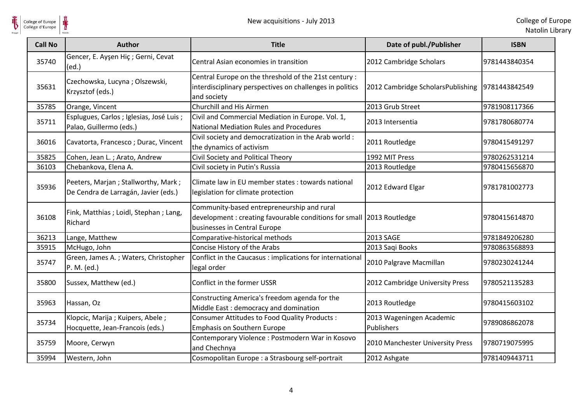

**HE** 

| <b>Call No</b> | Author                                                                      | <b>Title</b>                                                                                                                                       | Date of publ./Publisher                | <b>ISBN</b>   |
|----------------|-----------------------------------------------------------------------------|----------------------------------------------------------------------------------------------------------------------------------------------------|----------------------------------------|---------------|
| 35740          | Gencer, E. Ayşen Hiç ; Gerni, Cevat<br>(ed.)                                | Central Asian economies in transition                                                                                                              | 2012 Cambridge Scholars                | 9781443840354 |
| 35631          | Czechowska, Lucyna; Olszewski,<br>Krzysztof (eds.)                          | Central Europe on the threshold of the 21st century:<br>interdisciplinary perspectives on challenges in politics<br>and society                    | 2012 Cambridge ScholarsPublishing      | 9781443842549 |
| 35785          | Orange, Vincent                                                             | <b>Churchill and His Airmen</b>                                                                                                                    | 2013 Grub Street                       | 9781908117366 |
| 35711          | Esplugues, Carlos ; Iglesias, José Luis ;<br>Palao, Guillermo (eds.)        | Civil and Commercial Mediation in Europe. Vol. 1,<br>National Mediation Rules and Procedures                                                       | 2013 Intersentia                       | 9781780680774 |
| 36016          | Cavatorta, Francesco; Durac, Vincent                                        | Civil society and democratization in the Arab world :<br>the dynamics of activism                                                                  | 2011 Routledge                         | 9780415491297 |
| 35825          | Cohen, Jean L.; Arato, Andrew                                               | Civil Society and Political Theory                                                                                                                 | 1992 MIT Press                         | 9780262531214 |
| 36103          | Chebankova, Elena A.                                                        | Civil society in Putin's Russia                                                                                                                    | 2013 Routledge                         | 9780415656870 |
| 35936          | Peeters, Marjan; Stallworthy, Mark;<br>De Cendra de Larragán, Javier (eds.) | Climate law in EU member states : towards national<br>legislation for climate protection                                                           | 2012 Edward Elgar                      | 9781781002773 |
| 36108          | Fink, Matthias ; Loidl, Stephan ; Lang,<br>Richard                          | Community-based entrepreneurship and rural<br>development: creating favourable conditions for small 2013 Routledge<br>businesses in Central Europe |                                        | 9780415614870 |
| 36213          | Lange, Matthew                                                              | Comparative-historical methods                                                                                                                     | 2013 SAGE                              | 9781849206280 |
| 35915          | McHugo, John                                                                | Concise History of the Arabs                                                                                                                       | 2013 Saqi Books                        | 9780863568893 |
| 35747          | Green, James A.; Waters, Christopher<br>P. M. (ed.)                         | Conflict in the Caucasus : implications for international<br>legal order                                                                           | 2010 Palgrave Macmillan                | 9780230241244 |
| 35800          | Sussex, Matthew (ed.)                                                       | Conflict in the former USSR                                                                                                                        | 2012 Cambridge University Press        | 9780521135283 |
| 35963          | Hassan, Oz                                                                  | Constructing America's freedom agenda for the<br>Middle East: democracy and domination                                                             | 2013 Routledge                         | 9780415603102 |
| 35734          | Klopcic, Marija; Kuipers, Abele;<br>Hocquette, Jean-Francois (eds.)         | Consumer Attitudes to Food Quality Products :<br>Emphasis on Southern Europe                                                                       | 2013 Wageningen Academic<br>Publishers | 9789086862078 |
| 35759          | Moore, Cerwyn                                                               | Contemporary Violence: Postmodern War in Kosovo<br>and Chechnya                                                                                    | 2010 Manchester University Press       | 9780719075995 |
| 35994          | Western, John                                                               | Cosmopolitan Europe : a Strasbourg self-portrait                                                                                                   | 2012 Ashgate                           | 9781409443711 |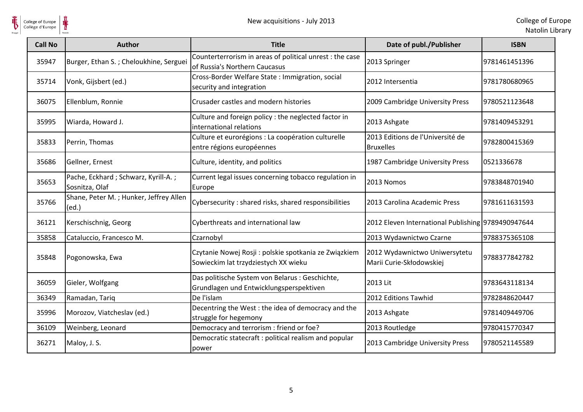

| <b>Call No</b> | <b>Author</b>                                         | <b>Title</b>                                                                                  | Date of publ./Publisher                                   | <b>ISBN</b>   |
|----------------|-------------------------------------------------------|-----------------------------------------------------------------------------------------------|-----------------------------------------------------------|---------------|
| 35947          | Burger, Ethan S.; Cheloukhine, Serguei                | Counterterrorism in areas of political unrest : the case<br>of Russia's Northern Caucasus     | 2013 Springer                                             | 9781461451396 |
| 35714          | Vonk, Gijsbert (ed.)                                  | Cross-Border Welfare State : Immigration, social<br>security and integration                  | 2012 Intersentia                                          | 9781780680965 |
| 36075          | Ellenblum, Ronnie                                     | Crusader castles and modern histories                                                         | 2009 Cambridge University Press                           | 9780521123648 |
| 35995          | Wiarda, Howard J.                                     | Culture and foreign policy : the neglected factor in<br>international relations               | 2013 Ashgate                                              | 9781409453291 |
| 35833          | Perrin, Thomas                                        | Culture et eurorégions : La coopération culturelle<br>entre régions européennes               | 2013 Editions de l'Université de<br><b>Bruxelles</b>      | 9782800415369 |
| 35686          | Gellner, Ernest                                       | Culture, identity, and politics                                                               | 1987 Cambridge University Press                           | 0521336678    |
| 35653          | Pache, Eckhard; Schwarz, Kyrill-A.;<br>Sosnitza, Olaf | Current legal issues concerning tobacco regulation in<br>Europe                               | 2013 Nomos                                                | 9783848701940 |
| 35766          | Shane, Peter M.; Hunker, Jeffrey Allen<br>(ed.)       | Cybersecurity: shared risks, shared responsibilities                                          | 2013 Carolina Academic Press                              | 9781611631593 |
| 36121          | Kerschischnig, Georg                                  | Cyberthreats and international law                                                            | 2012 Eleven International Publishing 9789490947644        |               |
| 35858          | Cataluccio, Francesco M.                              | Czarnobyl                                                                                     | 2013 Wydawnictwo Czarne                                   | 9788375365108 |
| 35848          | Pogonowska, Ewa                                       | Czytanie Nowej Rosji : polskie spotkania ze Związkiem<br>Sowieckim lat trzydziestych XX wieku | 2012 Wydawnictwo Uniwersytetu<br>Marii Curie-Skłodowskiej | 9788377842782 |
| 36059          | Gieler, Wolfgang                                      | Das politische System von Belarus : Geschichte,<br>Grundlagen und Entwicklungsperspektiven    | 2013 Lit                                                  | 9783643118134 |
| 36349          | Ramadan, Tariq                                        | De l'islam                                                                                    | 2012 Editions Tawhid                                      | 9782848620447 |
| 35996          | Morozov, Viatcheslav (ed.)                            | Decentring the West : the idea of democracy and the<br>struggle for hegemony                  | 2013 Ashgate                                              | 9781409449706 |
| 36109          | Weinberg, Leonard                                     | Democracy and terrorism : friend or foe?                                                      | 2013 Routledge                                            | 9780415770347 |
| 36271          | Maloy, J. S.                                          | Democratic statecraft : political realism and popular<br>power                                | 2013 Cambridge University Press                           | 9780521145589 |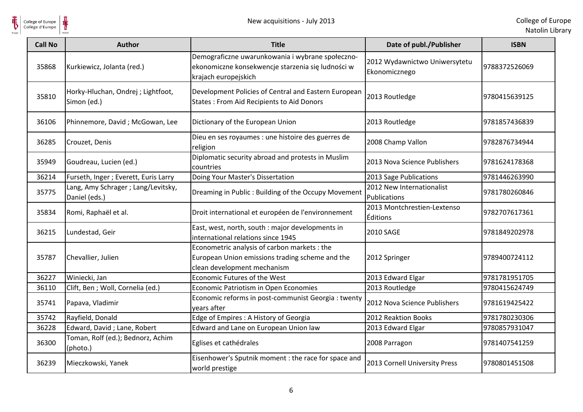

| <b>Call No</b> | <b>Author</b>                                       | <b>Title</b>                                                                                                                  | Date of publ./Publisher                        | <b>ISBN</b>   |
|----------------|-----------------------------------------------------|-------------------------------------------------------------------------------------------------------------------------------|------------------------------------------------|---------------|
| 35868          | Kurkiewicz, Jolanta (red.)                          | Demograficzne uwarunkowania i wybrane społeczno-<br>ekonomiczne konsekwencje starzenia się ludności w<br>krajach europejskich | 2012 Wydawnictwo Uniwersytetu<br>Ekonomicznego | 9788372526069 |
| 35810          | Horky-Hluchan, Ondrej ; Lightfoot,<br>Simon (ed.)   | Development Policies of Central and Eastern European<br><b>States: From Aid Recipients to Aid Donors</b>                      | 2013 Routledge                                 | 9780415639125 |
| 36106          | Phinnemore, David; McGowan, Lee                     | Dictionary of the European Union                                                                                              | 2013 Routledge                                 | 9781857436839 |
| 36285          | Crouzet, Denis                                      | Dieu en ses royaumes : une histoire des guerres de<br>religion                                                                | 2008 Champ Vallon                              | 9782876734944 |
| 35949          | Goudreau, Lucien (ed.)                              | Diplomatic security abroad and protests in Muslim<br>countries                                                                | 2013 Nova Science Publishers                   | 9781624178368 |
| 36214          | Furseth, Inger ; Everett, Euris Larry               | Doing Your Master's Dissertation                                                                                              | 2013 Sage Publications                         | 9781446263990 |
| 35775          | Lang, Amy Schrager; Lang/Levitsky,<br>Daniel (eds.) | Dreaming in Public: Building of the Occupy Movement                                                                           | 2012 New Internationalist<br>Publications      | 9781780260846 |
| 35834          | Romi, Raphaël et al.                                | Droit international et européen de l'environnement                                                                            | 2013 Montchrestien-Lextenso<br><b>Éditions</b> | 9782707617361 |
| 36215          | Lundestad, Geir                                     | East, west, north, south : major developments in<br>international relations since 1945                                        | <b>2010 SAGE</b>                               | 9781849202978 |
| 35787          | Chevallier, Julien                                  | Econometric analysis of carbon markets: the<br>European Union emissions trading scheme and the<br>clean development mechanism | 2012 Springer                                  | 9789400724112 |
| 36227          | Winiecki, Jan                                       | Economic Futures of the West                                                                                                  | 2013 Edward Elgar                              | 9781781951705 |
| 36110          | Clift, Ben ; Woll, Cornelia (ed.)                   | Economic Patriotism in Open Economies                                                                                         | 2013 Routledge                                 | 9780415624749 |
| 35741          | Papava, Vladimir                                    | Economic reforms in post-communist Georgia : twenty<br>vears after                                                            | 2012 Nova Science Publishers                   | 9781619425422 |
| 35742          | Rayfield, Donald                                    | Edge of Empires : A History of Georgia                                                                                        | 2012 Reaktion Books                            | 9781780230306 |
| 36228          | Edward, David; Lane, Robert                         | Edward and Lane on European Union law                                                                                         | 2013 Edward Elgar                              | 9780857931047 |
| 36300          | Toman, Rolf (ed.); Bednorz, Achim<br>(photo.)       | Eglises et cathédrales                                                                                                        | 2008 Parragon                                  | 9781407541259 |
| 36239          | Mieczkowski, Yanek                                  | Eisenhower's Sputnik moment : the race for space and<br>world prestige                                                        | 2013 Cornell University Press                  | 9780801451508 |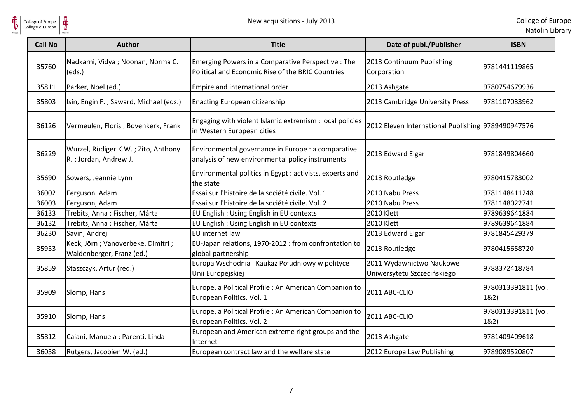

**HE** 

| <b>Call No</b> | <b>Author</b>                                                  | <b>Title</b>                                                                                            | Date of publ./Publisher                                 | <b>ISBN</b>                 |
|----------------|----------------------------------------------------------------|---------------------------------------------------------------------------------------------------------|---------------------------------------------------------|-----------------------------|
| 35760          | Nadkarni, Vidya; Noonan, Norma C.<br>(eds.)                    | Emerging Powers in a Comparative Perspective : The<br>Political and Economic Rise of the BRIC Countries | 2013 Continuum Publishing<br>Corporation                | 9781441119865               |
| 35811          | Parker, Noel (ed.)                                             | Empire and international order                                                                          | 2013 Ashgate                                            | 9780754679936               |
| 35803          | Isin, Engin F.; Saward, Michael (eds.)                         | Enacting European citizenship                                                                           | 2013 Cambridge University Press                         | 9781107033962               |
| 36126          | Vermeulen, Floris; Bovenkerk, Frank                            | Engaging with violent Islamic extremism : local policies<br>in Western European cities                  | 2012 Eleven International Publishing 9789490947576      |                             |
| 36229          | Wurzel, Rüdiger K.W.; Zito, Anthony<br>R.; Jordan, Andrew J.   | Environmental governance in Europe : a comparative<br>analysis of new environmental policy instruments  | 2013 Edward Elgar                                       | 9781849804660               |
| 35690          | Sowers, Jeannie Lynn                                           | Environmental politics in Egypt : activists, experts and<br>the state                                   | 2013 Routledge                                          | 9780415783002               |
| 36002          | Ferguson, Adam                                                 | Essai sur l'histoire de la société civile. Vol. 1                                                       | 2010 Nabu Press                                         | 9781148411248               |
| 36003          | Ferguson, Adam                                                 | Essai sur l'histoire de la société civile. Vol. 2                                                       | 2010 Nabu Press                                         | 9781148022741               |
| 36133          | Trebits, Anna; Fischer, Márta                                  | EU English: Using English in EU contexts                                                                | <b>2010 Klett</b>                                       | 9789639641884               |
| 36132          | Trebits, Anna ; Fischer, Márta                                 | EU English : Using English in EU contexts                                                               | <b>2010 Klett</b>                                       | 9789639641884               |
| 36230          | Savin, Andrej                                                  | EU internet law                                                                                         | 2013 Edward Elgar                                       | 9781845429379               |
| 35953          | Keck, Jörn; Vanoverbeke, Dimitri;<br>Waldenberger, Franz (ed.) | EU-Japan relations, 1970-2012 : from confrontation to<br>global partnership                             | 2013 Routledge                                          | 9780415658720               |
| 35859          | Staszczyk, Artur (red.)                                        | Europa Wschodnia i Kaukaz Południowy w polityce<br>Unii Europejskiej                                    | 2011 Wydawnictwo Naukowe<br>Uniwersytetu Szczecińskiego | 9788372418784               |
| 35909          | Slomp, Hans                                                    | Europe, a Political Profile : An American Companion to<br>European Politics. Vol. 1                     | 2011 ABC-CLIO                                           | 9780313391811 (vol.<br>182) |
| 35910          | Slomp, Hans                                                    | Europe, a Political Profile : An American Companion to<br>European Politics. Vol. 2                     | 2011 ABC-CLIO                                           | 9780313391811 (vol.<br>182) |
| 35812          | Caiani, Manuela ; Parenti, Linda                               | European and American extreme right groups and the<br>Internet                                          | 2013 Ashgate                                            | 9781409409618               |
| 36058          | Rutgers, Jacobien W. (ed.)                                     | European contract law and the welfare state                                                             | 2012 Europa Law Publishing                              | 9789089520807               |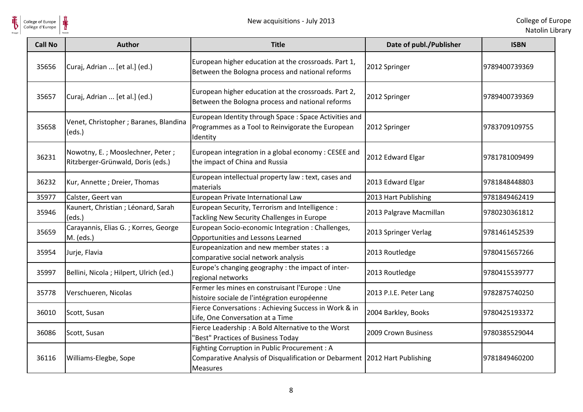

| <b>Call No</b> | <b>Author</b>                                                         | <b>Title</b>                                                                                                                                   | Date of publ./Publisher | <b>ISBN</b>   |
|----------------|-----------------------------------------------------------------------|------------------------------------------------------------------------------------------------------------------------------------------------|-------------------------|---------------|
| 35656          | Curaj, Adrian  [et al.] (ed.)                                         | European higher education at the crossroads. Part 1,<br>Between the Bologna process and national reforms                                       | 2012 Springer           | 9789400739369 |
| 35657          | Curaj, Adrian  [et al.] (ed.)                                         | European higher education at the crossroads. Part 2,<br>Between the Bologna process and national reforms                                       | 2012 Springer           | 9789400739369 |
| 35658          | Venet, Christopher ; Baranes, Blandina<br>(eds.)                      | European Identity through Space : Space Activities and<br>Programmes as a Tool to Reinvigorate the European<br>Identity                        | 2012 Springer           | 9783709109755 |
| 36231          | Nowotny, E.; Mooslechner, Peter;<br>Ritzberger-Grünwald, Doris (eds.) | European integration in a global economy: CESEE and<br>the impact of China and Russia                                                          | 2012 Edward Elgar       | 9781781009499 |
| 36232          | Kur, Annette; Dreier, Thomas                                          | European intellectual property law : text, cases and<br>materials                                                                              | 2013 Edward Elgar       | 9781848448803 |
| 35977          | Calster, Geert van                                                    | European Private International Law                                                                                                             | 2013 Hart Publishing    | 9781849462419 |
| 35946          | Kaunert, Christian; Léonard, Sarah<br>(eds.)                          | European Security, Terrorism and Intelligence :<br>Tackling New Security Challenges in Europe                                                  | 2013 Palgrave Macmillan | 9780230361812 |
| 35659          | Carayannis, Elias G.; Korres, George<br>M. (eds.)                     | European Socio-economic Integration : Challenges,<br>Opportunities and Lessons Learned                                                         | 2013 Springer Verlag    | 9781461452539 |
| 35954          | Jurje, Flavia                                                         | Europeanization and new member states : a<br>comparative social network analysis                                                               | 2013 Routledge          | 9780415657266 |
| 35997          | Bellini, Nicola; Hilpert, Ulrich (ed.)                                | Europe's changing geography : the impact of inter-<br>regional networks                                                                        | 2013 Routledge          | 9780415539777 |
| 35778          | Verschueren, Nicolas                                                  | Fermer les mines en construisant l'Europe : Une<br>histoire sociale de l'intégration européenne                                                | 2013 P.I.E. Peter Lang  | 9782875740250 |
| 36010          | Scott, Susan                                                          | Fierce Conversations: Achieving Success in Work & in<br>Life, One Conversation at a Time                                                       | 2004 Barkley, Books     | 9780425193372 |
| 36086          | Scott, Susan                                                          | Fierce Leadership: A Bold Alternative to the Worst<br>'Best" Practices of Business Today                                                       | 2009 Crown Business     | 9780385529044 |
| 36116          | Williams-Elegbe, Sope                                                 | Fighting Corruption in Public Procurement : A<br>Comparative Analysis of Disqualification or Debarment 2012 Hart Publishing<br><b>Measures</b> |                         | 9781849460200 |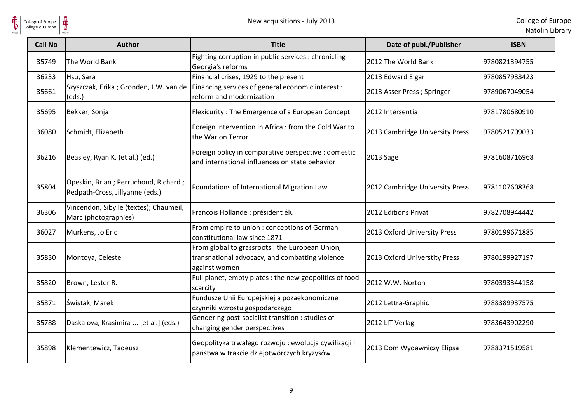

| <b>Call No</b> | <b>Author</b>                                                           | <b>Title</b>                                                                                                          | Date of publ./Publisher         | <b>ISBN</b>   |
|----------------|-------------------------------------------------------------------------|-----------------------------------------------------------------------------------------------------------------------|---------------------------------|---------------|
| 35749          | The World Bank                                                          | Fighting corruption in public services : chronicling<br>Georgia's reforms                                             | 2012 The World Bank             | 9780821394755 |
| 36233          | Hsu, Sara                                                               | Financial crises, 1929 to the present                                                                                 | 2013 Edward Elgar               | 9780857933423 |
| 35661          | (eds.)                                                                  | Szyszczak, Erika; Gronden, J.W. van de   Financing services of general economic interest:<br>reform and modernization | 2013 Asser Press ; Springer     | 9789067049054 |
| 35695          | Bekker, Sonja                                                           | Flexicurity: The Emergence of a European Concept                                                                      | 2012 Intersentia                | 9781780680910 |
| 36080          | Schmidt, Elizabeth                                                      | Foreign intervention in Africa : from the Cold War to<br>the War on Terror                                            | 2013 Cambridge University Press | 9780521709033 |
| 36216          | Beasley, Ryan K. (et al.) (ed.)                                         | Foreign policy in comparative perspective : domestic<br>and international influences on state behavior                | 2013 Sage                       | 9781608716968 |
| 35804          | Opeskin, Brian; Perruchoud, Richard;<br>Redpath-Cross, Jillyanne (eds.) | Foundations of International Migration Law                                                                            | 2012 Cambridge University Press | 9781107608368 |
| 36306          | Vincendon, Sibylle (textes); Chaumeil,<br>Marc (photographies)          | François Hollande : président élu                                                                                     | 2012 Editions Privat            | 9782708944442 |
| 36027          | Murkens, Jo Eric                                                        | From empire to union : conceptions of German<br>constitutional law since 1871                                         | 2013 Oxford University Press    | 9780199671885 |
| 35830          | Montoya, Celeste                                                        | From global to grassroots : the European Union,<br>transnational advocacy, and combatting violence<br>against women   | 2013 Oxford Universtity Press   | 9780199927197 |
| 35820          | Brown, Lester R.                                                        | Full planet, empty plates : the new geopolitics of food<br>scarcity                                                   | 2012 W.W. Norton                | 9780393344158 |
| 35871          | Świstak, Marek                                                          | Fundusze Unii Europejskiej a pozaekonomiczne<br>czynniki wzrostu gospodarczego                                        | 2012 Lettra-Graphic             | 9788389937575 |
| 35788          | Daskalova, Krasimira  [et al.] (eds.)                                   | Gendering post-socialist transition : studies of<br>changing gender perspectives                                      | 2012 LIT Verlag                 | 9783643902290 |
| 35898          | Klementewicz, Tadeusz                                                   | Geopolityka trwałego rozwoju : ewolucja cywilizacji i<br>państwa w trakcie dziejotwórczych kryzysów                   | 2013 Dom Wydawniczy Elipsa      | 9788371519581 |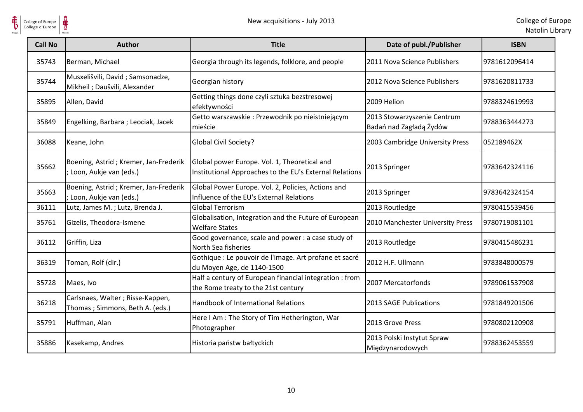

 $\frac{1}{\frac{1}{\sqrt{2}}}\sum_{\text{National}}$ 

| <b>Call No</b> | Author                                                              | <b>Title</b>                                                                                            | Date of publ./Publisher                                | <b>ISBN</b>   |
|----------------|---------------------------------------------------------------------|---------------------------------------------------------------------------------------------------------|--------------------------------------------------------|---------------|
| 35743          | Berman, Michael                                                     | Georgia through its legends, folklore, and people                                                       | 2011 Nova Science Publishers                           | 9781612096414 |
| 35744          | Musxelišvili, David; Samsonadze,<br>Mikheil; Daušvili, Alexander    | Georgian history                                                                                        | 2012 Nova Science Publishers                           | 9781620811733 |
| 35895          | Allen, David                                                        | Getting things done czyli sztuka bezstresowej<br>efektywności                                           | 2009 Helion                                            | 9788324619993 |
| 35849          | Engelking, Barbara; Leociak, Jacek                                  | Getto warszawskie: Przewodnik po nieistniejącym<br>mieście                                              | 2013 Stowarzyszenie Centrum<br>Badań nad Zagładą Żydów | 9788363444273 |
| 36088          | Keane, John                                                         | <b>Global Civil Society?</b>                                                                            | 2003 Cambridge University Press                        | 052189462X    |
| 35662          | Boening, Astrid; Kremer, Jan-Frederik<br>Loon, Aukje van (eds.)     | Global power Europe. Vol. 1, Theoretical and<br>Institutional Approaches to the EU's External Relations | 2013 Springer                                          | 9783642324116 |
| 35663          | Boening, Astrid; Kremer, Jan-Frederik<br>Loon, Aukje van (eds.)     | Global Power Europe. Vol. 2, Policies, Actions and<br>Influence of the EU's External Relations          | 2013 Springer                                          | 9783642324154 |
| 36111          | Lutz, James M.; Lutz, Brenda J.                                     | <b>Global Terrorism</b>                                                                                 | 2013 Routledge                                         | 9780415539456 |
| 35761          | Gizelis, Theodora-Ismene                                            | Globalisation, Integration and the Future of European<br><b>Welfare States</b>                          | 2010 Manchester University Press                       | 9780719081101 |
| 36112          | Griffin, Liza                                                       | Good governance, scale and power : a case study of<br>North Sea fisheries                               | 2013 Routledge                                         | 9780415486231 |
| 36319          | Toman, Rolf (dir.)                                                  | Gothique : Le pouvoir de l'image. Art profane et sacré<br>du Moyen Age, de 1140-1500                    | 2012 H.F. Ullmann                                      | 9783848000579 |
| 35728          | Maes, Ivo                                                           | Half a century of European financial integration : from<br>the Rome treaty to the 21st century          | 2007 Mercatorfonds                                     | 9789061537908 |
| 36218          | Carlsnaes, Walter; Risse-Kappen,<br>Thomas; Simmons, Beth A. (eds.) | Handbook of International Relations                                                                     | 2013 SAGE Publications                                 | 9781849201506 |
| 35791          | Huffman, Alan                                                       | Here I Am : The Story of Tim Hetherington, War<br>Photographer                                          | 2013 Grove Press                                       | 9780802120908 |
| 35886          | Kasekamp, Andres                                                    | Historia państw bałtyckich                                                                              | 2013 Polski Instytut Spraw<br>Międzynarodowych         | 9788362453559 |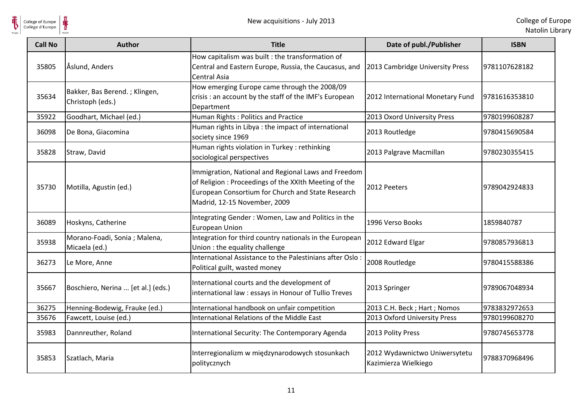

| <b>Call No</b> | <b>Author</b>                                     | <b>Title</b>                                                                                                                                                                                      | Date of publ./Publisher                               | <b>ISBN</b>   |
|----------------|---------------------------------------------------|---------------------------------------------------------------------------------------------------------------------------------------------------------------------------------------------------|-------------------------------------------------------|---------------|
| 35805          | Åslund, Anders                                    | How capitalism was built : the transformation of<br>Central and Eastern Europe, Russia, the Caucasus, and<br><b>Central Asia</b>                                                                  | 2013 Cambridge University Press                       | 9781107628182 |
| 35634          | Bakker, Bas Berend.; Klingen,<br>Christoph (eds.) | How emerging Europe came through the 2008/09<br>crisis : an account by the staff of the IMF's European<br>Department                                                                              | 2012 International Monetary Fund                      | 9781616353810 |
| 35922          | Goodhart, Michael (ed.)                           | Human Rights: Politics and Practice                                                                                                                                                               | 2013 Oxord University Press                           | 9780199608287 |
| 36098          | De Bona, Giacomina                                | Human rights in Libya : the impact of international<br>society since 1969                                                                                                                         | 2013 Routledge                                        | 9780415690584 |
| 35828          | Straw, David                                      | Human rights violation in Turkey: rethinking<br>sociological perspectives                                                                                                                         | 2013 Palgrave Macmillan                               | 9780230355415 |
| 35730          | Motilla, Agustin (ed.)                            | Immigration, National and Regional Laws and Freedom<br>of Religion : Proceedings of the XXIth Meeting of the<br>European Consortium for Church and State Research<br>Madrid, 12-15 November, 2009 | 2012 Peeters                                          | 9789042924833 |
| 36089          | Hoskyns, Catherine                                | Integrating Gender: Women, Law and Politics in the<br><b>European Union</b>                                                                                                                       | 1996 Verso Books                                      | 1859840787    |
| 35938          | Morano-Foadi, Sonia; Malena,<br>Micaela (ed.)     | Integration for third country nationals in the European<br>Union : the equality challenge                                                                                                         | 2012 Edward Elgar                                     | 9780857936813 |
| 36273          | Le More, Anne                                     | International Assistance to the Palestinians after Oslo:<br>Political guilt, wasted money                                                                                                         | 2008 Routledge                                        | 9780415588386 |
| 35667          | Boschiero, Nerina  [et al.] (eds.)                | International courts and the development of<br>international law : essays in Honour of Tullio Treves                                                                                              | 2013 Springer                                         | 9789067048934 |
| 36275          | Henning-Bodewig, Frauke (ed.)                     | International handbook on unfair competition                                                                                                                                                      | 2013 C.H. Beck; Hart; Nomos                           | 9783832972653 |
| 35676          | Fawcett, Louise (ed.)                             | International Relations of the Middle East                                                                                                                                                        | 2013 Oxford University Press                          | 9780199608270 |
| 35983          | Dannreuther, Roland                               | International Security: The Contemporary Agenda                                                                                                                                                   | 2013 Polity Press                                     | 9780745653778 |
| 35853          | Szatlach, Maria                                   | Interregionalizm w międzynarodowych stosunkach<br>politycznych                                                                                                                                    | 2012 Wydawnictwo Uniwersytetu<br>Kazimierza Wielkiego | 9788370968496 |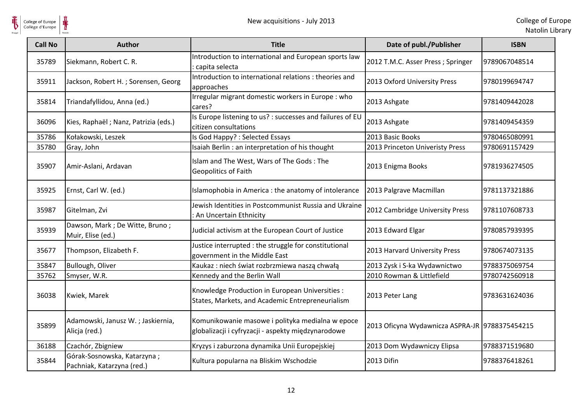

| <b>Call No</b> | Author                                                    | <b>Title</b>                                                                                           | Date of publ./Publisher                        | <b>ISBN</b>   |
|----------------|-----------------------------------------------------------|--------------------------------------------------------------------------------------------------------|------------------------------------------------|---------------|
| 35789          | Siekmann, Robert C. R.                                    | Introduction to international and European sports law<br>: capita selecta                              | 2012 T.M.C. Asser Press ; Springer             | 9789067048514 |
| 35911          | Jackson, Robert H.; Sorensen, Georg                       | Introduction to international relations : theories and<br>approaches                                   | 2013 Oxford University Press                   | 9780199694747 |
| 35814          | Triandafyllidou, Anna (ed.)                               | Irregular migrant domestic workers in Europe : who<br>cares?                                           | 2013 Ashgate                                   | 9781409442028 |
| 36096          | Kies, Raphaël; Nanz, Patrizia (eds.)                      | Is Europe listening to us? : successes and failures of EU<br>citizen consultations                     | 2013 Ashgate                                   | 9781409454359 |
| 35786          | Kołakowski, Leszek                                        | Is God Happy? : Selected Essays                                                                        | 2013 Basic Books                               | 9780465080991 |
| 35780          | Gray, John                                                | Isaiah Berlin : an interpretation of his thought                                                       | 2013 Princeton Univeristy Press                | 9780691157429 |
| 35907          | Amir-Aslani, Ardavan                                      | Islam and The West, Wars of The Gods: The<br>Geopolitics of Faith                                      | 2013 Enigma Books                              | 9781936274505 |
| 35925          | Ernst, Carl W. (ed.)                                      | Islamophobia in America : the anatomy of intolerance                                                   | 2013 Palgrave Macmillan                        | 9781137321886 |
| 35987          | Gitelman, Zvi                                             | Jewish Identities in Postcommunist Russia and Ukraine<br>: An Uncertain Ethnicity                      | 2012 Cambridge University Press                | 9781107608733 |
| 35939          | Dawson, Mark; De Witte, Bruno;<br>Muir, Elise (ed.)       | Judicial activism at the European Court of Justice                                                     | 2013 Edward Elgar                              | 9780857939395 |
| 35677          | Thompson, Elizabeth F.                                    | Justice interrupted : the struggle for constitutional<br>government in the Middle East                 | 2013 Harvard University Press                  | 9780674073135 |
| 35847          | Bullough, Oliver                                          | Kaukaz: niech świat rozbrzmiewa naszą chwałą                                                           | 2013 Zysk i S-ka Wydawnictwo                   | 9788375069754 |
| 35762          | Smyser, W.R.                                              | Kennedy and the Berlin Wall                                                                            | 2010 Rowman & Littlefield                      | 9780742560918 |
| 36038          | Kwiek, Marek                                              | Knowledge Production in European Universities :<br>States, Markets, and Academic Entrepreneurialism    | 2013 Peter Lang                                | 9783631624036 |
| 35899          | Adamowski, Janusz W.; Jaskiernia,<br>Alicja (red.)        | Komunikowanie masowe i polityka medialna w epoce<br>globalizacji i cyfryzacji - aspekty międzynarodowe | 2013 Oficyna Wydawnicza ASPRA-JR 9788375454215 |               |
| 36188          | Czachór, Zbigniew                                         | Kryzys i zaburzona dynamika Unii Europejskiej                                                          | 2013 Dom Wydawniczy Elipsa                     | 9788371519680 |
| 35844          | Górak-Sosnowska, Katarzyna;<br>Pachniak, Katarzyna (red.) | Kultura popularna na Bliskim Wschodzie                                                                 | 2013 Difin                                     | 9788376418261 |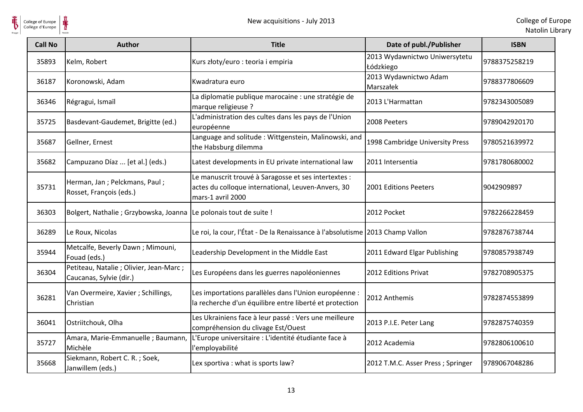

| <b>Call No</b> | <b>Author</b>                                                       | <b>Title</b>                                                                                                                    | Date of publ./Publisher                    | <b>ISBN</b>   |
|----------------|---------------------------------------------------------------------|---------------------------------------------------------------------------------------------------------------------------------|--------------------------------------------|---------------|
| 35893          | Kelm, Robert                                                        | Kurs złoty/euro : teoria i empiria                                                                                              | 2013 Wydawnictwo Uniwersytetu<br>Łódzkiego | 9788375258219 |
| 36187          | Koronowski, Adam                                                    | Kwadratura euro                                                                                                                 | 2013 Wydawnictwo Adam<br>Marszałek         | 9788377806609 |
| 36346          | Régragui, Ismaïl                                                    | La diplomatie publique marocaine : une stratégie de<br>marque religieuse ?                                                      | 2013 L'Harmattan                           | 9782343005089 |
| 35725          | Basdevant-Gaudemet, Brigitte (ed.)                                  | L'administration des cultes dans les pays de l'Union<br>européenne                                                              | 2008 Peeters                               | 9789042920170 |
| 35687          | Gellner, Ernest                                                     | Language and solitude: Wittgenstein, Malinowski, and<br>the Habsburg dilemma                                                    | 1998 Cambridge University Press            | 9780521639972 |
| 35682          | Campuzano Díaz  [et al.] (eds.)                                     | Latest developments in EU private international law                                                                             | 2011 Intersentia                           | 9781780680002 |
| 35731          | Herman, Jan ; Pelckmans, Paul ;<br>Rosset, François (eds.)          | Le manuscrit trouvé à Saragosse et ses intertextes :<br>actes du colloque international, Leuven-Anvers, 30<br>mars-1 avril 2000 | 2001 Editions Peeters                      | 9042909897    |
| 36303          | Bolgert, Nathalie ; Grzybowska, Joanna                              | Le polonais tout de suite !                                                                                                     | 2012 Pocket                                | 9782266228459 |
| 36289          | Le Roux, Nicolas                                                    | Le roi, la cour, l'État - De la Renaissance à l'absolutisme 2013 Champ Vallon                                                   |                                            | 9782876738744 |
| 35944          | Metcalfe, Beverly Dawn; Mimouni,<br>Fouad (eds.)                    | Leadership Development in the Middle East                                                                                       | 2011 Edward Elgar Publishing               | 9780857938749 |
| 36304          | Petiteau, Natalie ; Olivier, Jean-Marc ;<br>Caucanas, Sylvie (dir.) | Les Européens dans les guerres napoléoniennes                                                                                   | 2012 Editions Privat                       | 9782708905375 |
| 36281          | Van Overmeire, Xavier ; Schillings,<br>Christian                    | Les importations parallèles dans l'Union européenne :<br>la recherche d'un équilibre entre liberté et protection                | 2012 Anthemis                              | 9782874553899 |
| 36041          | Ostriitchouk, Olha                                                  | Les Ukrainiens face à leur passé : Vers une meilleure<br>compréhension du clivage Est/Ouest                                     | 2013 P.I.E. Peter Lang                     | 9782875740359 |
| 35727          | Amara, Marie-Emmanuelle ; Baumann,<br>Michèle                       | L'Europe universitaire : L'identité étudiante face à<br>l'employabilité                                                         | 2012 Academia                              | 9782806100610 |
| 35668          | Siekmann, Robert C. R.; Soek,<br>Janwillem (eds.)                   | Lex sportiva : what is sports law?                                                                                              | 2012 T.M.C. Asser Press ; Springer         | 9789067048286 |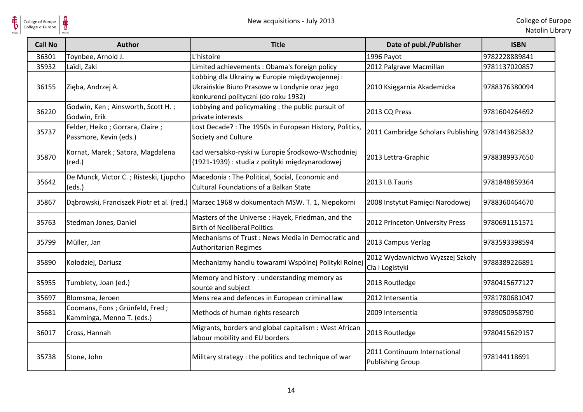| <b>Call No</b> | <b>Author</b>                                               | <b>Title</b>                                                                                                                           | Date of publ./Publisher                                 | <b>ISBN</b>   |
|----------------|-------------------------------------------------------------|----------------------------------------------------------------------------------------------------------------------------------------|---------------------------------------------------------|---------------|
| 36301          | Toynbee, Arnold J.                                          | L'histoire                                                                                                                             | 1996 Payot                                              | 9782228889841 |
| 35932          | Laïdi, Zaki                                                 | Limited achievements: Obama's foreign policy                                                                                           | 2012 Palgrave Macmillan                                 | 9781137020857 |
| 36155          | Zięba, Andrzej A.                                           | Lobbing dla Ukrainy w Europie międzywojennej:<br>Ukraińskie Biuro Prasowe w Londynie oraz jego<br>konkurenci polityczni (do roku 1932) | 2010 Księgarnia Akademicka                              | 9788376380094 |
| 36220          | Godwin, Ken; Ainsworth, Scott H.;<br>Godwin, Erik           | Lobbying and policymaking : the public pursuit of<br>private interests                                                                 | 2013 CQ Press                                           | 9781604264692 |
| 35737          | Felder, Heiko; Gorrara, Claire;<br>Passmore, Kevin (eds.)   | Lost Decade?: The 1950s in European History, Politics,<br>Society and Culture                                                          | 2011 Cambridge Scholars Publishing  9781443825832       |               |
| 35870          | Kornat, Marek; Satora, Magdalena<br>$(\text{red.})$         | Ład wersalsko-ryski w Europie Środkowo-Wschodniej<br>(1921-1939) : studia z polityki międzynarodowej                                   | 2013 Lettra-Graphic                                     | 9788389937650 |
| 35642          | De Munck, Victor C.; Risteski, Ljupcho<br>(eds.)            | Macedonia: The Political, Social, Economic and<br><b>Cultural Foundations of a Balkan State</b>                                        | 2013 I.B.Tauris                                         | 9781848859364 |
| 35867          |                                                             | Dąbrowski, Franciszek Piotr et al. (red.) Marzec 1968 w dokumentach MSW. T. 1, Niepokorni                                              | 2008 Instytut Pamięci Narodowej                         | 9788360464670 |
| 35763          | Stedman Jones, Daniel                                       | Masters of the Universe : Hayek, Friedman, and the<br><b>Birth of Neoliberal Politics</b>                                              | 2012 Princeton University Press                         | 9780691151571 |
| 35799          | Müller, Jan                                                 | Mechanisms of Trust: News Media in Democratic and<br>Authoritarian Regimes                                                             | 2013 Campus Verlag                                      | 9783593398594 |
| 35890          | Kołodziej, Dariusz                                          | Mechanizmy handlu towarami Wspólnej Polityki Rolnej                                                                                    | 2012 Wydawnictwo Wyższej Szkoły<br>Cła i Logistyki      | 9788389226891 |
| 35955          | Tumblety, Joan (ed.)                                        | Memory and history : understanding memory as<br>source and subject                                                                     | 2013 Routledge                                          | 9780415677127 |
| 35697          | Blomsma, Jeroen                                             | Mens rea and defences in European criminal law                                                                                         | 2012 Intersentia                                        | 9781780681047 |
| 35681          | Coomans, Fons; Grünfeld, Fred;<br>Kamminga, Menno T. (eds.) | Methods of human rights research                                                                                                       | 2009 Intersentia                                        | 9789050958790 |
| 36017          | Cross, Hannah                                               | Migrants, borders and global capitalism : West African<br>labour mobility and EU borders                                               | 2013 Routledge                                          | 9780415629157 |
| 35738          | Stone, John                                                 | Military strategy : the politics and technique of war                                                                                  | 2011 Continuum International<br><b>Publishing Group</b> | 978144118691  |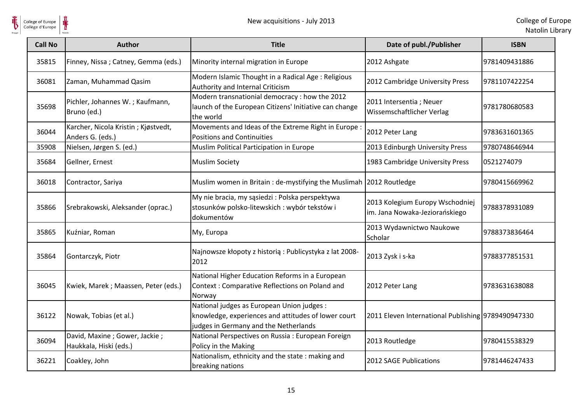

| <b>Call No</b> | <b>Author</b>                                           | <b>Title</b>                                                                                                                               | Date of publ./Publisher                                           | <b>ISBN</b>   |
|----------------|---------------------------------------------------------|--------------------------------------------------------------------------------------------------------------------------------------------|-------------------------------------------------------------------|---------------|
| 35815          | Finney, Nissa; Catney, Gemma (eds.)                     | Minority internal migration in Europe                                                                                                      | 2012 Ashgate                                                      | 9781409431886 |
| 36081          | Zaman, Muhammad Qasim                                   | Modern Islamic Thought in a Radical Age: Religious<br>Authority and Internal Criticism                                                     | 2012 Cambridge University Press                                   | 9781107422254 |
| 35698          | Pichler, Johannes W.; Kaufmann,<br>Bruno (ed.)          | Modern transnationial democracy : how the 2012<br>launch of the European Citizens' Initiative can change<br>the world                      | 2011 Intersentia ; Neuer<br>Wissemschaftlicher Verlag             | 9781780680583 |
| 36044          | Karcher, Nicola Kristin; Kjøstvedt,<br>Anders G. (eds.) | Movements and Ideas of the Extreme Right in Europe<br><b>Positions and Continuities</b>                                                    | 2012 Peter Lang                                                   | 9783631601365 |
| 35908          | Nielsen, Jørgen S. (ed.)                                | Muslim Political Participation in Europe                                                                                                   | 2013 Edinburgh University Press                                   | 9780748646944 |
| 35684          | Gellner, Ernest                                         | <b>Muslim Society</b>                                                                                                                      | 1983 Cambridge University Press                                   | 0521274079    |
| 36018          | Contractor, Sariya                                      | Muslim women in Britain: de-mystifying the Muslimah 2012 Routledge                                                                         |                                                                   | 9780415669962 |
| 35866          | Srebrakowski, Aleksander (oprac.)                       | My nie bracia, my sąsiedzi : Polska perspektywa<br>stosunków polsko-litewskich : wybór tekstów i<br>dokumentów                             | 2013 Kolegium Europy Wschodniej<br>im. Jana Nowaka-Jeziorańskiego | 9788378931089 |
| 35865          | Kuźniar, Roman                                          | My, Europa                                                                                                                                 | 2013 Wydawnictwo Naukowe<br>Scholar                               | 9788373836464 |
| 35864          | Gontarczyk, Piotr                                       | Najnowsze kłopoty z historią: Publicystyka z lat 2008-<br>2012                                                                             | 2013 Zysk i s-ka                                                  | 9788377851531 |
| 36045          | Kwiek, Marek; Maassen, Peter (eds.)                     | National Higher Education Reforms in a European<br>Context: Comparative Reflections on Poland and<br>Norway                                | 2012 Peter Lang                                                   | 9783631638088 |
| 36122          | Nowak, Tobias (et al.)                                  | National judges as European Union judges :<br>knowledge, experiences and attitudes of lower court<br>judges in Germany and the Netherlands | 2011 Eleven International Publishing 9789490947330                |               |
| 36094          | David, Maxine; Gower, Jackie;<br>Haukkala, Hiski (eds.) | National Perspectives on Russia : European Foreign<br>Policy in the Making                                                                 | 2013 Routledge                                                    | 9780415538329 |
| 36221          | Coakley, John                                           | Nationalism, ethnicity and the state: making and<br>breaking nations                                                                       | 2012 SAGE Publications                                            | 9781446247433 |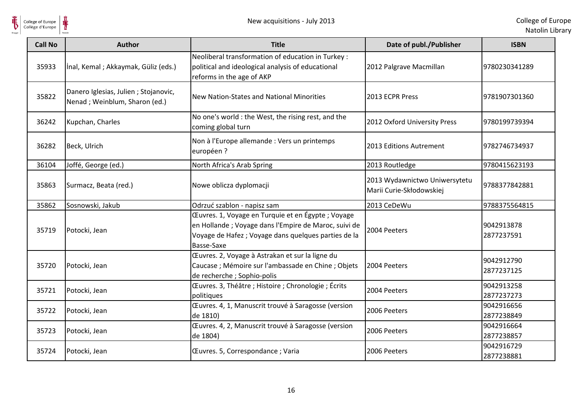

 $\frac{1}{\frac{1}{\sqrt{2}}}\sum_{\text{National}}$ College of Europe

| <b>Call No</b> | Author                                                                | <b>Title</b>                                                                                                                                                                     | Date of publ./Publisher                                   | <b>ISBN</b>              |
|----------------|-----------------------------------------------------------------------|----------------------------------------------------------------------------------------------------------------------------------------------------------------------------------|-----------------------------------------------------------|--------------------------|
| 35933          | İnal, Kemal; Akkaymak, Güliz (eds.)                                   | Neoliberal transformation of education in Turkey :<br>political and ideological analysis of educational<br>reforms in the age of AKP                                             | 2012 Palgrave Macmillan                                   | 9780230341289            |
| 35822          | Danero Iglesias, Julien; Stojanovic,<br>Nenad; Weinblum, Sharon (ed.) | New Nation-States and National Minorities                                                                                                                                        | 2013 ECPR Press                                           | 9781907301360            |
| 36242          | Kupchan, Charles                                                      | No one's world : the West, the rising rest, and the<br>coming global turn                                                                                                        | 2012 Oxford University Press                              | 9780199739394            |
| 36282          | Beck, Ulrich                                                          | Non à l'Europe allemande : Vers un printemps<br>européen ?                                                                                                                       | 2013 Editions Autrement                                   | 9782746734937            |
| 36104          | Joffé, George (ed.)                                                   | North Africa's Arab Spring                                                                                                                                                       | 2013 Routledge                                            | 9780415623193            |
| 35863          | Surmacz, Beata (red.)                                                 | Nowe oblicza dyplomacji                                                                                                                                                          | 2013 Wydawnictwo Uniwersytetu<br>Marii Curie-Skłodowskiej | 9788377842881            |
| 35862          | Sosnowski, Jakub                                                      | Odrzuć szablon - napisz sam                                                                                                                                                      | 2013 CeDeWu                                               | 9788375564815            |
| 35719          | Potocki, Jean                                                         | Œuvres. 1, Voyage en Turquie et en Égypte ; Voyage<br>en Hollande; Voyage dans l'Empire de Maroc, suivi de<br>Voyage de Hafez ; Voyage dans quelques parties de la<br>Basse-Saxe | 2004 Peeters                                              | 9042913878<br>2877237591 |
| 35720          | Potocki, Jean                                                         | Œuvres. 2, Voyage à Astrakan et sur la ligne du<br>Caucase ; Mémoire sur l'ambassade en Chine ; Objets<br>de recherche ; Sophio-polis                                            | 2004 Peeters                                              | 9042912790<br>2877237125 |
| 35721          | Potocki, Jean                                                         | Œuvres. 3, Théâtre ; Histoire ; Chronologie ; Écrits<br>politiques                                                                                                               | 2004 Peeters                                              | 9042913258<br>2877237273 |
| 35722          | Potocki, Jean                                                         | Œuvres. 4, 1, Manuscrit trouvé à Saragosse (version<br>de 1810)                                                                                                                  | 2006 Peeters                                              | 9042916656<br>2877238849 |
| 35723          | Potocki, Jean                                                         | Œuvres. 4, 2, Manuscrit trouvé à Saragosse (version<br>de 1804)                                                                                                                  | 2006 Peeters                                              | 9042916664<br>2877238857 |
| 35724          | Potocki, Jean                                                         | Œuvres. 5, Correspondance ; Varia                                                                                                                                                | 2006 Peeters                                              | 9042916729<br>2877238881 |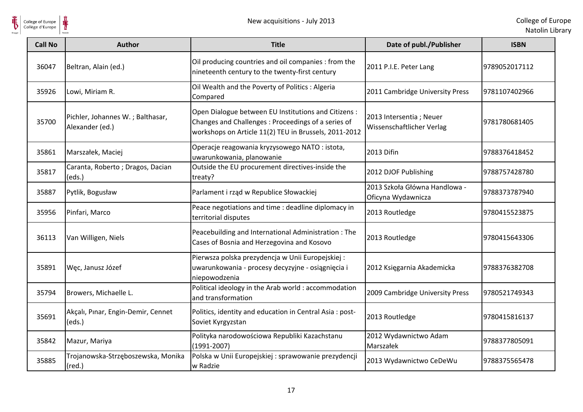

| <b>Call No</b> | <b>Author</b>                                         | <b>Title</b>                                                                                                                                                        | Date of publ./Publisher                               | <b>ISBN</b>   |
|----------------|-------------------------------------------------------|---------------------------------------------------------------------------------------------------------------------------------------------------------------------|-------------------------------------------------------|---------------|
| 36047          | Beltran, Alain (ed.)                                  | Oil producing countries and oil companies : from the<br>nineteenth century to the twenty-first century                                                              | 2011 P.I.E. Peter Lang                                | 9789052017112 |
| 35926          | Lowi, Miriam R.                                       | Oil Wealth and the Poverty of Politics : Algeria<br>Compared                                                                                                        | 2011 Cambridge University Press                       | 9781107402966 |
| 35700          | Pichler, Johannes W.; Balthasar,<br>Alexander (ed.)   | Open Dialogue between EU Institutions and Citizens :<br>Changes and Challenges: Proceedings of a series of<br>workshops on Article 11(2) TEU in Brussels, 2011-2012 | 2013 Intersentia ; Neuer<br>Wissenschaftlicher Verlag | 9781780681405 |
| 35861          | Marszałek, Maciej                                     | Operacje reagowania kryzysowego NATO: istota,<br>uwarunkowania, planowanie                                                                                          | 2013 Difin                                            | 9788376418452 |
| 35817          | Caranta, Roberto; Dragos, Dacian<br>(eds.)            | Outside the EU procurement directives-inside the<br>treaty?                                                                                                         | 2012 DJOF Publishing                                  | 9788757428780 |
| 35887          | Pytlik, Bogusław                                      | Parlament i rząd w Republice Słowackiej                                                                                                                             | 2013 Szkoła Główna Handlowa -<br>Oficyna Wydawnicza   | 9788373787940 |
| 35956          | Pinfari, Marco                                        | Peace negotiations and time : deadline diplomacy in<br>territorial disputes                                                                                         | 2013 Routledge                                        | 9780415523875 |
| 36113          | Van Willigen, Niels                                   | Peacebuilding and International Administration : The<br>Cases of Bosnia and Herzegovina and Kosovo                                                                  | 2013 Routledge                                        | 9780415643306 |
| 35891          | Węc, Janusz Józef                                     | Pierwsza polska prezydencja w Unii Europejskiej :<br>uwarunkowania - procesy decyzyjne - osiągnięcia i<br>niepowodzenia                                             | 2012 Księgarnia Akademicka                            | 9788376382708 |
| 35794          | Browers, Michaelle L.                                 | Political ideology in the Arab world : accommodation<br>and transformation                                                                                          | 2009 Cambridge University Press                       | 9780521749343 |
| 35691          | Akçalı, Pınar, Engin-Demir, Cennet<br>(eds.)          | Politics, identity and education in Central Asia: post-<br>Soviet Kyrgyzstan                                                                                        | 2013 Routledge                                        | 9780415816137 |
| 35842          | Mazur, Mariya                                         | Polityka narodowościowa Republiki Kazachstanu<br>$(1991 - 2007)$                                                                                                    | 2012 Wydawnictwo Adam<br>Marszałek                    | 9788377805091 |
| 35885          | Trojanowska-Strzęboszewska, Monika<br>$(\text{red.})$ | Polska w Unii Europejskiej : sprawowanie prezydencji<br>w Radzie                                                                                                    | 2013 Wydawnictwo CeDeWu                               | 9788375565478 |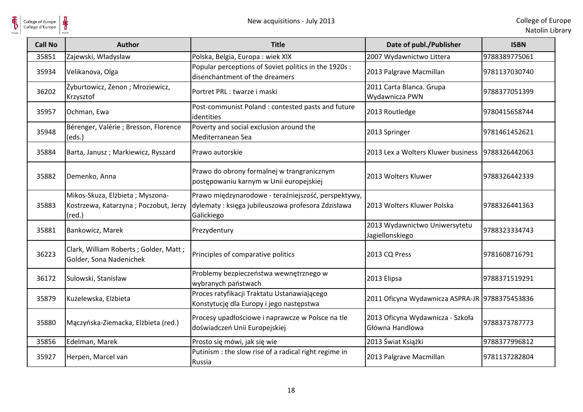

| <b>Call No</b> | <b>Author</b>                                                                               | <b>Title</b>                                                                                                           | Date of publ./Publisher                             | <b>ISBN</b>   |
|----------------|---------------------------------------------------------------------------------------------|------------------------------------------------------------------------------------------------------------------------|-----------------------------------------------------|---------------|
| 35851          | Zajewski, Władysław                                                                         | Polska, Belgia, Europa: wiek XIX                                                                                       | 2007 Wydawnictwo Littera                            | 9788389775061 |
| 35934          | Velikanova, Olga                                                                            | Popular perceptions of Soviet politics in the 1920s :<br>disenchantment of the dreamers                                | 2013 Palgrave Macmillan                             | 9781137030740 |
| 36202          | Żyburtowicz, Zenon; Mroziewicz,<br>Krzysztof                                                | Portret PRL : twarze i maski                                                                                           | 2011 Carta Blanca. Grupa<br>Wydawnicza PWN          | 9788377051399 |
| 35957          | Ochman, Ewa                                                                                 | Post-communist Poland : contested pasts and future<br>identities                                                       | 2013 Routledge                                      | 9780415658744 |
| 35948          | Bérenger, Valérie ; Bresson, Florence<br>(eds.)                                             | Poverty and social exclusion around the<br>Mediterranean Sea                                                           | 2013 Springer                                       | 9781461452621 |
| 35884          | Barta, Janusz; Markiewicz, Ryszard                                                          | Prawo autorskie                                                                                                        | 2013 Lex a Wolters Kluwer business 9788326442063    |               |
| 35882          | Demenko, Anna                                                                               | Prawo do obrony formalnej w trangranicznym<br>postępowaniu karnym w Unii europejskiej                                  | 2013 Wolters Kluwer                                 | 9788326442339 |
| 35883          | Mikos-Skuza, Elżbieta; Myszona-<br>Kostrzewa, Katarzyna; Poczobut, Jerzy<br>$(\text{red.})$ | Prawo międzynarodowe - teraźniejszość, perspektywy,<br>dylematy: księga jubileuszowa profesora Zdzisława<br>Galickiego | 2013 Wolters Kluwer Polska                          | 9788326441363 |
| 35881          | Bankowicz, Marek                                                                            | Prezydentury                                                                                                           | 2013 Wydawnictwo Uniwersytetu<br>Jagiellonskiego    | 9788323334743 |
| 36223          | Clark, William Roberts; Golder, Matt;<br>Golder, Sona Nadenichek                            | Principles of comparative politics                                                                                     | 2013 CQ Press                                       | 9781608716791 |
| 36172          | Sulowski, Stanisław                                                                         | Problemy bezpieczeństwa wewnętrznego w<br>wybranych państwach                                                          | 2013 Elipsa                                         | 9788371519291 |
| 35879          | Kużelewska, Elżbieta                                                                        | Proces ratyfikacji Traktatu Ustanawiającego<br>Konstytucję dla Europy i jego następstwa                                | 2011 Oficyna Wydawnicza ASPRA-JR 9788375453836      |               |
| 35880          | Mączyńska-Ziemacka, Elżbieta (red.)                                                         | Procesy upadłościowe i naprawcze w Polsce na tle<br>doświadczeń Unii Europejskiej                                      | 2013 Oficyna Wydawnicza - Szkoła<br>Główna Handlowa | 9788373787773 |
| 35856          | Edelman, Marek                                                                              | Prosto się mówi, jak się wie                                                                                           | 2013 Świat Książki                                  | 9788377996812 |
| 35927          | Herpen, Marcel van                                                                          | Putinism : the slow rise of a radical right regime in<br>Russia                                                        | 2013 Palgrave Macmillan                             | 9781137282804 |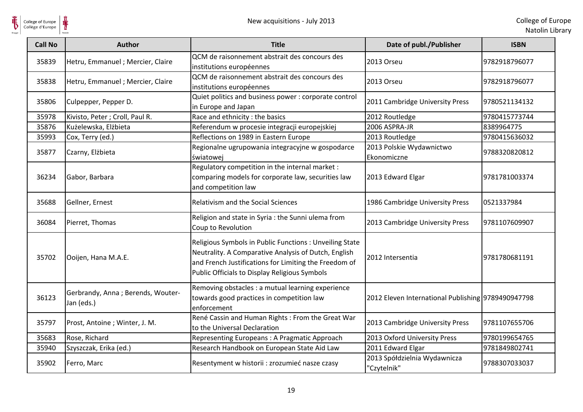

 $\frac{1}{\frac{1}{\sqrt{2}}}\sum_{\text{National}}$ College of Europe

| <b>Call No</b> | <b>Author</b>                                   | <b>Title</b>                                                                                                                                                                                                              | Date of publ./Publisher                            | <b>ISBN</b>   |
|----------------|-------------------------------------------------|---------------------------------------------------------------------------------------------------------------------------------------------------------------------------------------------------------------------------|----------------------------------------------------|---------------|
| 35839          | Hetru, Emmanuel ; Mercier, Claire               | QCM de raisonnement abstrait des concours des<br>institutions européennes                                                                                                                                                 | 2013 Orseu                                         | 9782918796077 |
| 35838          | Hetru, Emmanuel ; Mercier, Claire               | QCM de raisonnement abstrait des concours des<br>institutions européennes                                                                                                                                                 | 2013 Orseu                                         | 9782918796077 |
| 35806          | Culpepper, Pepper D.                            | Quiet politics and business power : corporate control<br>in Europe and Japan                                                                                                                                              | 2011 Cambridge University Press                    | 9780521134132 |
| 35978          | Kivisto, Peter; Croll, Paul R.                  | Race and ethnicity : the basics                                                                                                                                                                                           | 2012 Routledge                                     | 9780415773744 |
| 35876          | Kużelewska, Elżbieta                            | Referendum w procesie integracji europejskiej                                                                                                                                                                             | 2006 ASPRA-JR                                      | 8389964775    |
| 35993          | Cox, Terry (ed.)                                | Reflections on 1989 in Eastern Europe                                                                                                                                                                                     | 2013 Routledge                                     | 9780415636032 |
| 35877          | Czarny, Elżbieta                                | Regionalne ugrupowania integracyjne w gospodarce<br>światowej                                                                                                                                                             | 2013 Polskie Wydawnictwo<br>Ekonomiczne            | 9788320820812 |
| 36234          | Gabor, Barbara                                  | Regulatory competition in the internal market :<br>comparing models for corporate law, securities law<br>and competition law                                                                                              | 2013 Edward Elgar                                  | 9781781003374 |
| 35688          | Gellner, Ernest                                 | <b>Relativism and the Social Sciences</b>                                                                                                                                                                                 | 1986 Cambridge University Press                    | 0521337984    |
| 36084          | Pierret, Thomas                                 | Religion and state in Syria : the Sunni ulema from<br>Coup to Revolution                                                                                                                                                  | 2013 Cambridge University Press                    | 9781107609907 |
| 35702          | Ooijen, Hana M.A.E.                             | Religious Symbols in Public Functions : Unveiling State<br>Neutrality. A Comparative Analysis of Dutch, English<br>and French Justifications for Limiting the Freedom of<br>Public Officials to Display Religious Symbols | 2012 Intersentia                                   | 9781780681191 |
| 36123          | Gerbrandy, Anna; Berends, Wouter-<br>Jan (eds.) | Removing obstacles : a mutual learning experience<br>towards good practices in competition law<br>enforcement                                                                                                             | 2012 Eleven International Publishing 9789490947798 |               |
| 35797          | Prost, Antoine; Winter, J. M.                   | René Cassin and Human Rights : From the Great War<br>to the Universal Declaration                                                                                                                                         | 2013 Cambridge University Press                    | 9781107655706 |
| 35683          | Rose, Richard                                   | Representing Europeans: A Pragmatic Approach                                                                                                                                                                              | 2013 Oxford University Press                       | 9780199654765 |
| 35940          | Szyszczak, Erika (ed.)                          | Research Handbook on European State Aid Law                                                                                                                                                                               | 2011 Edward Elgar                                  | 9781849802741 |
| 35902          | Ferro, Marc                                     | Resentyment w historii : zrozumieć nasze czasy                                                                                                                                                                            | 2013 Spółdzielnia Wydawnicza<br>'Czytelnik"        | 9788307033037 |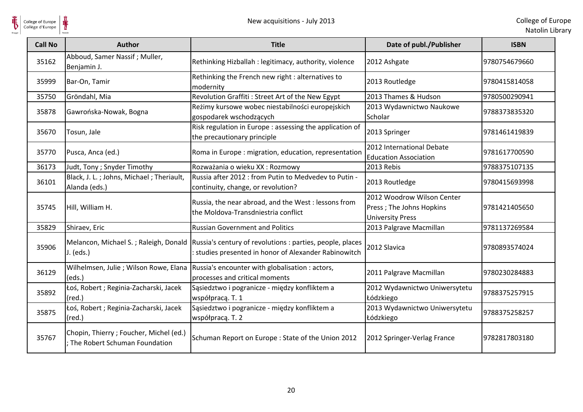

| <b>Call No</b> | <b>Author</b>                                                              | <b>Title</b>                                                                                                                                             | Date of publ./Publisher                                                           | <b>ISBN</b>   |
|----------------|----------------------------------------------------------------------------|----------------------------------------------------------------------------------------------------------------------------------------------------------|-----------------------------------------------------------------------------------|---------------|
| 35162          | Abboud, Samer Nassif; Muller,<br>Benjamin J.                               | Rethinking Hizballah : legitimacy, authority, violence                                                                                                   | 2012 Ashgate                                                                      | 9780754679660 |
| 35999          | Bar-On, Tamir                                                              | Rethinking the French new right : alternatives to<br>modernity                                                                                           | 2013 Routledge                                                                    | 9780415814058 |
| 35750          | Gröndahl, Mia                                                              | Revolution Graffiti: Street Art of the New Egypt                                                                                                         | 2013 Thames & Hudson                                                              | 9780500290941 |
| 35878          | Gawrońska-Nowak, Bogna                                                     | Reżimy kursowe wobec niestabilności europejskich<br>gospodarek wschodzących                                                                              | 2013 Wydawnictwo Naukowe<br><b>Scholar</b>                                        | 9788373835320 |
| 35670          | Tosun, Jale                                                                | Risk regulation in Europe : assessing the application of<br>the precautionary principle                                                                  | 2013 Springer                                                                     | 9781461419839 |
| 35770          | Pusca, Anca (ed.)                                                          | Roma in Europe : migration, education, representation                                                                                                    | 2012 International Debate<br><b>Education Association</b>                         | 9781617700590 |
| 36173          | Judt, Tony ; Snyder Timothy                                                | Rozważania o wieku XX : Rozmowy                                                                                                                          | 2013 Rebis                                                                        | 9788375107135 |
| 36101          | Black, J. L.; Johns, Michael; Theriault,<br>Alanda (eds.)                  | Russia after 2012 : from Putin to Medvedev to Putin -<br>continuity, change, or revolution?                                                              | 2013 Routledge                                                                    | 9780415693998 |
| 35745          | Hill, William H.                                                           | Russia, the near abroad, and the West : lessons from<br>the Moldova-Transdniestria conflict                                                              | 2012 Woodrow Wilson Center<br>Press; The Johns Hopkins<br><b>University Press</b> | 9781421405650 |
| 35829          | Shiraev, Eric                                                              | <b>Russian Government and Politics</b>                                                                                                                   | 2013 Palgrave Macmillan                                                           | 9781137269584 |
| 35906          | $J.$ (eds.)                                                                | Melancon, Michael S.; Raleigh, Donald Russia's century of revolutions : parties, people, places<br>: studies presented in honor of Alexander Rabinowitch | 2012 Slavica                                                                      | 9780893574024 |
| 36129          | Wilhelmsen, Julie ; Wilson Rowe, Elana<br>(eds.)                           | Russia's encounter with globalisation : actors,<br>processes and critical moments                                                                        | 2011 Palgrave Macmillan                                                           | 9780230284883 |
| 35892          | Łoś, Robert ; Reginia-Zacharski, Jacek<br>$(\text{red.})$                  | Sąsiedztwo i pogranicze - między konfliktem a<br>współpracą. T. 1                                                                                        | 2012 Wydawnictwo Uniwersytetu<br>Łódzkiego                                        | 9788375257915 |
| 35875          | Łoś, Robert; Reginia-Zacharski, Jacek<br>$(\text{red.})$                   | Sąsiedztwo i pogranicze - między konfliktem a<br>współpracą. T. 2                                                                                        | 2013 Wydawnictwo Uniwersytetu<br>Łódzkiego                                        | 9788375258257 |
| 35767          | Chopin, Thierry ; Foucher, Michel (ed.)<br>: The Robert Schuman Foundation | Schuman Report on Europe: State of the Union 2012                                                                                                        | 2012 Springer-Verlag France                                                       | 9782817803180 |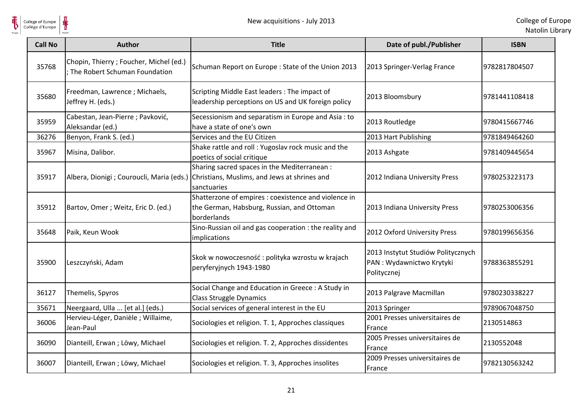| <b>Call No</b> | <b>Author</b>                                                              | <b>Title</b>                                                                                                                                          | Date of publ./Publisher                                                       | <b>ISBN</b>   |
|----------------|----------------------------------------------------------------------------|-------------------------------------------------------------------------------------------------------------------------------------------------------|-------------------------------------------------------------------------------|---------------|
| 35768          | Chopin, Thierry ; Foucher, Michel (ed.)<br>; The Robert Schuman Foundation | Schuman Report on Europe: State of the Union 2013                                                                                                     | 2013 Springer-Verlag France                                                   | 9782817804507 |
| 35680          | Freedman, Lawrence; Michaels,<br>Jeffrey H. (eds.)                         | Scripting Middle East leaders : The impact of<br>leadership perceptions on US and UK foreign policy                                                   | 2013 Bloomsbury                                                               | 9781441108418 |
| 35959          | Cabestan, Jean-Pierre ; Pavković,<br>Aleksandar (ed.)                      | Secessionism and separatism in Europe and Asia: to<br>have a state of one's own                                                                       | 2013 Routledge                                                                | 9780415667746 |
| 36276          | Benyon, Frank S. (ed.)                                                     | Services and the EU Citizen                                                                                                                           | 2013 Hart Publishing                                                          | 9781849464260 |
| 35967          | Misina, Dalibor.                                                           | Shake rattle and roll : Yugoslav rock music and the<br>poetics of social critique                                                                     | 2013 Ashgate                                                                  | 9781409445654 |
| 35917          |                                                                            | Sharing sacred spaces in the Mediterranean :<br>Albera, Dionigi ; Couroucli, Maria (eds.) Christians, Muslims, and Jews at shrines and<br>sanctuaries | 2012 Indiana University Press                                                 | 9780253223173 |
| 35912          | Bartov, Omer; Weitz, Eric D. (ed.)                                         | Shatterzone of empires : coexistence and violence in<br>the German, Habsburg, Russian, and Ottoman<br>borderlands                                     | 2013 Indiana University Press                                                 | 9780253006356 |
| 35648          | Paik, Keun Wook                                                            | Sino-Russian oil and gas cooperation : the reality and<br>implications                                                                                | 2012 Oxford University Press                                                  | 9780199656356 |
| 35900          | Leszczyński, Adam                                                          | Skok w nowoczesność: polityka wzrostu w krajach<br>peryferyjnych 1943-1980                                                                            | 2013 Instytut Studiów Politycznych<br>PAN: Wydawnictwo Krytyki<br>Politycznej | 9788363855291 |
| 36127          | Themelis, Spyros                                                           | Social Change and Education in Greece : A Study in<br><b>Class Struggle Dynamics</b>                                                                  | 2013 Palgrave Macmillan                                                       | 9780230338227 |
| 35671          | Neergaard, Ulla  [et al.] (eds.)                                           | Social services of general interest in the EU                                                                                                         | 2013 Springer                                                                 | 9789067048750 |
| 36006          | Hervieu-Léger, Danièle ; Willaime,<br>Jean-Paul                            | Sociologies et religion. T. 1, Approches classiques                                                                                                   | 2001 Presses universitaires de<br>France                                      | 2130514863    |
| 36090          | Dianteill, Erwan; Löwy, Michael                                            | Sociologies et religion. T. 2, Approches dissidentes                                                                                                  | 2005 Presses universitaires de<br>France                                      | 2130552048    |
| 36007          | Dianteill, Erwan; Löwy, Michael                                            | Sociologies et religion. T. 3, Approches insolites                                                                                                    | 2009 Presses universitaires de<br>France                                      | 9782130563242 |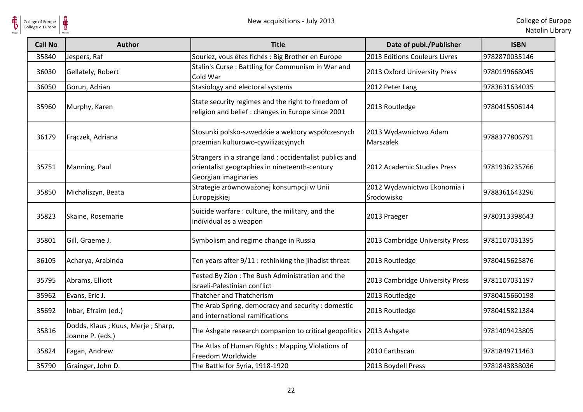

| <b>Call No</b> | <b>Author</b>                                         | <b>Title</b>                                                                                                                     | Date of publ./Publisher                   | <b>ISBN</b>   |
|----------------|-------------------------------------------------------|----------------------------------------------------------------------------------------------------------------------------------|-------------------------------------------|---------------|
| 35840          | Jespers, Raf                                          | Souriez, vous êtes fichés : Big Brother en Europe                                                                                | 2013 Editions Couleurs Livres             | 9782870035146 |
| 36030          | Gellately, Robert                                     | Stalin's Curse: Battling for Communism in War and<br>Cold War                                                                    | 2013 Oxford University Press              | 9780199668045 |
| 36050          | Gorun, Adrian                                         | Stasiology and electoral systems                                                                                                 | 2012 Peter Lang                           | 9783631634035 |
| 35960          | Murphy, Karen                                         | State security regimes and the right to freedom of<br>religion and belief : changes in Europe since 2001                         | 2013 Routledge                            | 9780415506144 |
| 36179          | Frączek, Adriana                                      | Stosunki polsko-szwedzkie a wektory współczesnych<br>przemian kulturowo-cywilizacyjnych                                          | 2013 Wydawnictwo Adam<br>Marszałek        | 9788377806791 |
| 35751          | Manning, Paul                                         | Strangers in a strange land : occidentalist publics and<br>orientalist geographies in nineteenth-century<br>Georgian imaginaries | 2012 Academic Studies Press               | 9781936235766 |
| 35850          | Michaliszyn, Beata                                    | Strategie zrównoważonej konsumpcji w Unii<br>Europejskiej                                                                        | 2012 Wydawnictwo Ekonomia i<br>Środowisko | 9788361643296 |
| 35823          | Skaine, Rosemarie                                     | Suicide warfare: culture, the military, and the<br>individual as a weapon                                                        | 2013 Praeger                              | 9780313398643 |
| 35801          | Gill, Graeme J.                                       | Symbolism and regime change in Russia                                                                                            | 2013 Cambridge University Press           | 9781107031395 |
| 36105          | Acharya, Arabinda                                     | Ten years after 9/11 : rethinking the jihadist threat                                                                            | 2013 Routledge                            | 9780415625876 |
| 35795          | Abrams, Elliott                                       | Tested By Zion: The Bush Administration and the<br>Israeli-Palestinian conflict                                                  | 2013 Cambridge University Press           | 9781107031197 |
| 35962          | Evans, Eric J.                                        | <b>Thatcher and Thatcherism</b>                                                                                                  | 2013 Routledge                            | 9780415660198 |
| 35692          | Inbar, Efraim (ed.)                                   | The Arab Spring, democracy and security: domestic<br>and international ramifications                                             | 2013 Routledge                            | 9780415821384 |
| 35816          | Dodds, Klaus; Kuus, Merje; Sharp,<br>Joanne P. (eds.) | The Ashgate research companion to critical geopolitics                                                                           | 2013 Ashgate                              | 9781409423805 |
| 35824          | Fagan, Andrew                                         | The Atlas of Human Rights: Mapping Violations of<br>Freedom Worldwide                                                            | 2010 Earthscan                            | 9781849711463 |
| 35790          | Grainger, John D.                                     | The Battle for Syria, 1918-1920                                                                                                  | 2013 Boydell Press                        | 9781843838036 |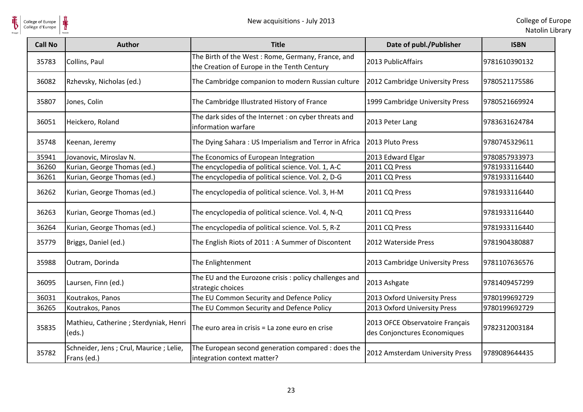

| College of Europe<br>Collège d'Europe | ⋕                                                       | New acquisitions - July 2013                                                                     |                                                                 | College of Eur<br>Natolin Lib |
|---------------------------------------|---------------------------------------------------------|--------------------------------------------------------------------------------------------------|-----------------------------------------------------------------|-------------------------------|
| <b>Call No</b>                        | <b>Author</b>                                           | <b>Title</b>                                                                                     | Date of publ./Publisher                                         | <b>ISBN</b>                   |
| 35783                                 | Collins, Paul                                           | The Birth of the West: Rome, Germany, France, and<br>the Creation of Europe in the Tenth Century | 2013 PublicAffairs                                              | 9781610390132                 |
| 36082                                 | Rzhevsky, Nicholas (ed.)                                | The Cambridge companion to modern Russian culture                                                | 2012 Cambridge University Press                                 | 9780521175586                 |
| 35807                                 | Jones, Colin                                            | The Cambridge Illustrated History of France                                                      | 1999 Cambridge University Press                                 | 9780521669924                 |
| 36051                                 | Heickero, Roland                                        | The dark sides of the Internet : on cyber threats and<br>information warfare                     | 2013 Peter Lang                                                 | 9783631624784                 |
| 35748                                 | Keenan, Jeremy                                          | The Dying Sahara: US Imperialism and Terror in Africa                                            | 2013 Pluto Press                                                | 9780745329611                 |
| 35941                                 | Jovanovic, Miroslav N.                                  | The Economics of European Integration                                                            | 2013 Edward Elgar                                               | 9780857933973                 |
| 36260                                 | Kurian, George Thomas (ed.)                             | The encyclopedia of political science. Vol. 1, A-C                                               | 2011 CQ Press                                                   | 9781933116440                 |
| 36261                                 | Kurian, George Thomas (ed.)                             | The encyclopedia of political science. Vol. 2, D-G                                               | 2011 CQ Press                                                   | 9781933116440                 |
| 36262                                 | Kurian, George Thomas (ed.)                             | The encyclopedia of political science. Vol. 3, H-M                                               | 2011 CQ Press                                                   | 9781933116440                 |
| 36263                                 | Kurian, George Thomas (ed.)                             | The encyclopedia of political science. Vol. 4, N-Q                                               | 2011 CQ Press                                                   | 9781933116440                 |
| 36264                                 | Kurian, George Thomas (ed.)                             | The encyclopedia of political science. Vol. 5, R-Z                                               | 2011 CQ Press                                                   | 9781933116440                 |
| 35779                                 | Briggs, Daniel (ed.)                                    | The English Riots of 2011 : A Summer of Discontent                                               | 2012 Waterside Press                                            | 9781904380887                 |
| 35988                                 | Outram, Dorinda                                         | The Enlightenment                                                                                | 2013 Cambridge University Press                                 | 9781107636576                 |
| 36095                                 | Laursen, Finn (ed.)                                     | The EU and the Eurozone crisis : policy challenges and<br>strategic choices                      | 2013 Ashgate                                                    | 9781409457299                 |
| 36031                                 | Koutrakos, Panos                                        | The EU Common Security and Defence Policy                                                        | 2013 Oxford University Press                                    | 9780199692729                 |
| 36265                                 | Koutrakos, Panos                                        | The EU Common Security and Defence Policy                                                        | 2013 Oxford University Press                                    | 9780199692729                 |
| 35835                                 | Mathieu, Catherine ; Sterdyniak, Henri<br>(eds.)        | The euro area in crisis = La zone euro en crise                                                  | 2013 OFCE Observatoire Français<br>des Conjonctures Economiques | 9782312003184                 |
| 35782                                 | Schneider, Jens ; Crul, Maurice ; Lelie,<br>Frans (ed.) | The European second generation compared : does the<br>integration context matter?                | 2012 Amsterdam University Press                                 | 9789089644435                 |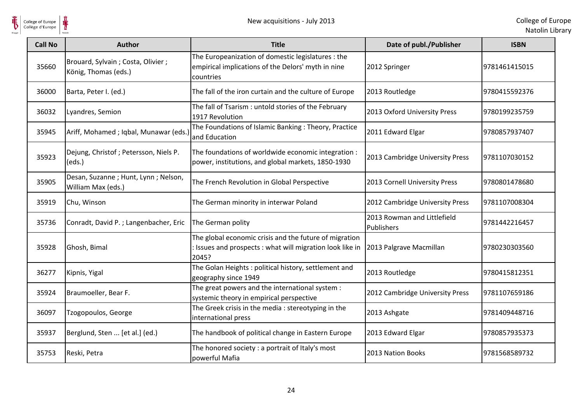

| <b>Call No</b> | <b>Author</b>                                             | <b>Title</b>                                                                                                                 | Date of publ./Publisher                   | <b>ISBN</b>   |
|----------------|-----------------------------------------------------------|------------------------------------------------------------------------------------------------------------------------------|-------------------------------------------|---------------|
| 35660          | Brouard, Sylvain; Costa, Olivier;<br>König, Thomas (eds.) | The Europeanization of domestic legislatures : the<br>empirical implications of the Delors' myth in nine<br>countries        | 2012 Springer                             | 9781461415015 |
| 36000          | Barta, Peter I. (ed.)                                     | The fall of the iron curtain and the culture of Europe                                                                       | 2013 Routledge                            | 9780415592376 |
| 36032          | Lyandres, Semion                                          | The fall of Tsarism: untold stories of the February<br>1917 Revolution                                                       | 2013 Oxford University Press              | 9780199235759 |
| 35945          | Ariff, Mohamed ; Iqbal, Munawar (eds.)                    | The Foundations of Islamic Banking: Theory, Practice<br>and Education                                                        | 2011 Edward Elgar                         | 9780857937407 |
| 35923          | Dejung, Christof; Petersson, Niels P.<br>(eds.)           | The foundations of worldwide economic integration :<br>power, institutions, and global markets, 1850-1930                    | 2013 Cambridge University Press           | 9781107030152 |
| 35905          | Desan, Suzanne; Hunt, Lynn; Nelson,<br>William Max (eds.) | The French Revolution in Global Perspective                                                                                  | 2013 Cornell University Press             | 9780801478680 |
| 35919          | Chu, Winson                                               | The German minority in interwar Poland                                                                                       | 2012 Cambridge University Press           | 9781107008304 |
| 35736          | Conradt, David P. ; Langenbacher, Eric                    | The German polity                                                                                                            | 2013 Rowman and Littlefield<br>Publishers | 9781442216457 |
| 35928          | Ghosh, Bimal                                              | The global economic crisis and the future of migration<br>: Issues and prospects : what will migration look like in<br>2045? | 2013 Palgrave Macmillan                   | 9780230303560 |
| 36277          | Kipnis, Yigal                                             | The Golan Heights: political history, settlement and<br>geography since 1949                                                 | 2013 Routledge                            | 9780415812351 |
| 35924          | Braumoeller, Bear F.                                      | The great powers and the international system :<br>systemic theory in empirical perspective                                  | 2012 Cambridge University Press           | 9781107659186 |
| 36097          | Tzogopoulos, George                                       | The Greek crisis in the media: stereotyping in the<br>international press                                                    | 2013 Ashgate                              | 9781409448716 |
| 35937          | Berglund, Sten  [et al.] (ed.)                            | The handbook of political change in Eastern Europe                                                                           | 2013 Edward Elgar                         | 9780857935373 |
| 35753          | Reski, Petra                                              | The honored society : a portrait of Italy's most<br>powerful Mafia                                                           | 2013 Nation Books                         | 9781568589732 |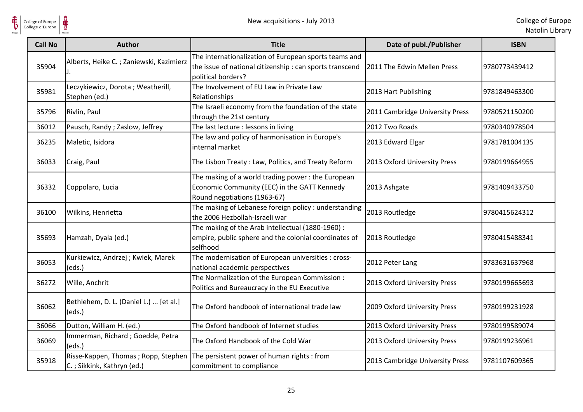

| <b>Call No</b> | <b>Author</b>                                                     | <b>Title</b>                                                                                                                            | Date of publ./Publisher         | <b>ISBN</b>   |
|----------------|-------------------------------------------------------------------|-----------------------------------------------------------------------------------------------------------------------------------------|---------------------------------|---------------|
| 35904          | Alberts, Heike C.; Zaniewski, Kazimierz                           | The internationalization of European sports teams and<br>the issue of national citizenship : can sports transcend<br>political borders? | 2011 The Edwin Mellen Press     | 9780773439412 |
| 35981          | Leczykiewicz, Dorota; Weatherill,<br>Stephen (ed.)                | The Involvement of EU Law in Private Law<br>Relationships                                                                               | 2013 Hart Publishing            | 9781849463300 |
| 35796          | Rivlin, Paul                                                      | The Israeli economy from the foundation of the state<br>through the 21st century                                                        | 2011 Cambridge University Press | 9780521150200 |
| 36012          | Pausch, Randy; Zaslow, Jeffrey                                    | The last lecture : lessons in living                                                                                                    | 2012 Two Roads                  | 9780340978504 |
| 36235          | Maletic, Isidora                                                  | The law and policy of harmonisation in Europe's<br>internal market                                                                      | 2013 Edward Elgar               | 9781781004135 |
| 36033          | Craig, Paul                                                       | The Lisbon Treaty: Law, Politics, and Treaty Reform                                                                                     | 2013 Oxford University Press    | 9780199664955 |
| 36332          | Coppolaro, Lucia                                                  | The making of a world trading power: the European<br>Economic Community (EEC) in the GATT Kennedy<br>Round negotiations (1963-67)       | 2013 Ashgate                    | 9781409433750 |
| 36100          | Wilkins, Henrietta                                                | The making of Lebanese foreign policy : understanding<br>the 2006 Hezbollah-Israeli war                                                 | 2013 Routledge                  | 9780415624312 |
| 35693          | Hamzah, Dyala (ed.)                                               | The making of the Arab intellectual (1880-1960) :<br>empire, public sphere and the colonial coordinates of<br>selfhood                  | 2013 Routledge                  | 9780415488341 |
| 36053          | Kurkiewicz, Andrzej; Kwiek, Marek<br>(eds.)                       | The modernisation of European universities : cross-<br>national academic perspectives                                                   | 2012 Peter Lang                 | 9783631637968 |
| 36272          | Wille, Anchrit                                                    | The Normalization of the European Commission :<br>Politics and Bureaucracy in the EU Executive                                          | 2013 Oxford University Press    | 9780199665693 |
| 36062          | Bethlehem, D. L. (Daniel L.)  [et al.]<br>(eds.)                  | The Oxford handbook of international trade law                                                                                          | 2009 Oxford University Press    | 9780199231928 |
| 36066          | Dutton, William H. (ed.)                                          | The Oxford handbook of Internet studies                                                                                                 | 2013 Oxford University Press    | 9780199589074 |
| 36069          | Immerman, Richard; Goedde, Petra<br>(eds.)                        | The Oxford Handbook of the Cold War                                                                                                     | 2013 Oxford University Press    | 9780199236961 |
| 35918          | Risse-Kappen, Thomas; Ropp, Stephen<br>C.; Sikkink, Kathryn (ed.) | The persistent power of human rights : from<br>commitment to compliance                                                                 | 2013 Cambridge University Press | 9781107609365 |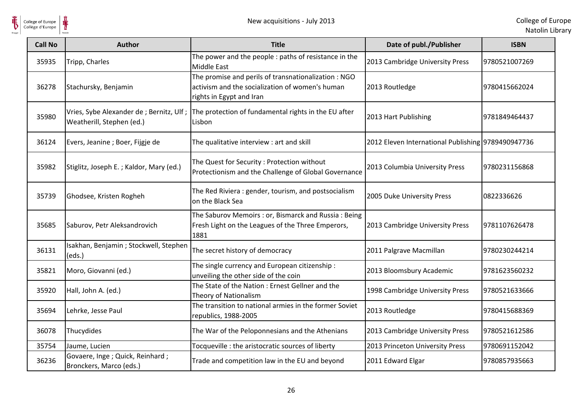

 $\frac{1}{\frac{1}{\sqrt{2}}}\sum_{\text{National}}$ 

| <b>Call No</b> | <b>Author</b>                                                | <b>Title</b>                                                                                                                       | Date of publ./Publisher                            | <b>ISBN</b>   |
|----------------|--------------------------------------------------------------|------------------------------------------------------------------------------------------------------------------------------------|----------------------------------------------------|---------------|
| 35935          | Tripp, Charles                                               | The power and the people : paths of resistance in the<br>Middle East                                                               | 2013 Cambridge University Press                    | 9780521007269 |
| 36278          | Stachursky, Benjamin                                         | The promise and perils of transnationalization: NGO<br>activism and the socialization of women's human<br>rights in Egypt and Iran | 2013 Routledge                                     | 9780415662024 |
| 35980          | Weatherill, Stephen (ed.)                                    | Vries, Sybe Alexander de ; Bernitz, Ulf ; The protection of fundamental rights in the EU after<br>Lisbon                           | 2013 Hart Publishing                               | 9781849464437 |
| 36124          | Evers, Jeanine; Boer, Fijgje de                              | The qualitative interview : art and skill                                                                                          | 2012 Eleven International Publishing 9789490947736 |               |
| 35982          | Stiglitz, Joseph E.; Kaldor, Mary (ed.)                      | The Quest for Security : Protection without<br>Protectionism and the Challenge of Global Governance                                | 2013 Columbia University Press                     | 9780231156868 |
| 35739          | Ghodsee, Kristen Rogheh                                      | The Red Riviera: gender, tourism, and postsocialism<br>on the Black Sea                                                            | 2005 Duke University Press                         | 0822336626    |
| 35685          | Saburov, Petr Aleksandrovich                                 | The Saburov Memoirs : or, Bismarck and Russia : Being<br>Fresh Light on the Leagues of the Three Emperors,<br>1881                 | 2013 Cambridge University Press                    | 9781107626478 |
| 36131          | Isakhan, Benjamin; Stockwell, Stephen<br>(eds.)              | The secret history of democracy                                                                                                    | 2011 Palgrave Macmillan                            | 9780230244214 |
| 35821          | Moro, Giovanni (ed.)                                         | The single currency and European citizenship :<br>unveiling the other side of the coin                                             | 2013 Bloomsbury Academic                           | 9781623560232 |
| 35920          | Hall, John A. (ed.)                                          | The State of the Nation: Ernest Gellner and the<br>Theory of Nationalism                                                           | 1998 Cambridge University Press                    | 9780521633666 |
| 35694          | Lehrke, Jesse Paul                                           | The transition to national armies in the former Soviet<br>republics, 1988-2005                                                     | 2013 Routledge                                     | 9780415688369 |
| 36078          | Thucydides                                                   | The War of the Peloponnesians and the Athenians                                                                                    | 2013 Cambridge University Press                    | 9780521612586 |
| 35754          | Jaume, Lucien                                                | Tocqueville : the aristocratic sources of liberty                                                                                  | 2013 Princeton University Press                    | 9780691152042 |
| 36236          | Govaere, Inge ; Quick, Reinhard ;<br>Bronckers, Marco (eds.) | Trade and competition law in the EU and beyond                                                                                     | 2011 Edward Elgar                                  | 9780857935663 |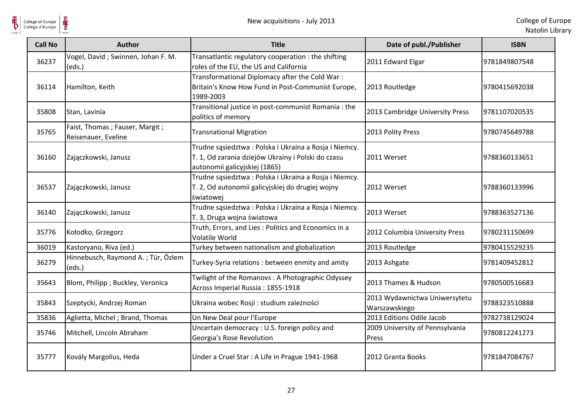

| <b>Call No</b> | <b>Author</b>                                         | <b>Title</b>                                                                                                                                 | Date of publ./Publisher                        | <b>ISBN</b>   |
|----------------|-------------------------------------------------------|----------------------------------------------------------------------------------------------------------------------------------------------|------------------------------------------------|---------------|
| 36237          | Vogel, David; Swinnen, Johan F. M.<br>(eds.)          | Transatlantic regulatory cooperation : the shifting<br>roles of the EU, the US and California                                                | 2011 Edward Elgar                              | 9781849807548 |
| 36114          | Hamilton, Keith                                       | Transformational Diplomacy after the Cold War:<br>Britain's Know How Fund in Post-Communist Europe,<br>1989-2003                             | 2013 Routledge                                 | 9780415692038 |
| 35808          | Stan, Lavinia                                         | Transitional justice in post-communist Romania : the<br>politics of memory                                                                   | 2013 Cambridge University Press                | 9781107020535 |
| 35765          | Faist, Thomas; Fauser, Margit;<br>Reisenauer, Eveline | <b>Transnational Migration</b>                                                                                                               | 2013 Polity Press                              | 9780745649788 |
| 36160          | Zajączkowski, Janusz                                  | Trudne sąsiedztwa: Polska i Ukraina a Rosja i Niemcy.<br>T. 1, Od zarania dziejów Ukrainy i Polski do czasu<br>autonomii galicyjskiej (1865) | 2011 Werset                                    | 9788360133651 |
| 36537          | Zajączkowski, Janusz                                  | Trudne sąsiedztwa: Polska i Ukraina a Rosja i Niemcy.<br>T. 2, Od autonomii galicyjskiej do drugiej wojny<br>światowej                       | 2012 Werset                                    | 9788360133996 |
| 36140          | Zajączkowski, Janusz                                  | Trudne sąsiedztwa: Polska i Ukraina a Rosja i Niemcy.<br>T. 3, Druga wojna światowa                                                          | 2013 Werset                                    | 9788363527136 |
| 35776          | Kołodko, Grzegorz                                     | Truth, Errors, and Lies: Politics and Economics in a<br>Volatile World                                                                       | 2012 Columbia University Press                 | 9780231150699 |
| 36019          | Kastoryano, Riva (ed.)                                | Turkey between nationalism and globalization                                                                                                 | 2013 Routledge                                 | 9780415529235 |
| 36279          | Hinnebusch, Raymond A.; Tür, Özlem<br>(eds.)          | Turkey-Syria relations: between enmity and amity                                                                                             | 2013 Ashgate                                   | 9781409452812 |
| 35643          | Blom, Philipp ; Buckley, Veronica                     | Twilight of the Romanovs: A Photographic Odyssey<br>Across Imperial Russia: 1855-1918                                                        | 2013 Thames & Hudson                           | 9780500516683 |
| 35843          | Szeptycki, Andrzej Roman                              | Ukraina wobec Rosji : studium zależności                                                                                                     | 2013 Wydawnictwa Uniwersytetu<br>Warszawskiego | 9788323510888 |
| 35836          | Aglietta, Michel; Brand, Thomas                       | Un New Deal pour l'Europe                                                                                                                    | 2013 Editions Odile Jacob                      | 9782738129024 |
| 35746          | Mitchell, Lincoln Abraham                             | Uncertain democracy: U.S. foreign policy and<br>Georgia's Rose Revolution                                                                    | 2009 University of Pennsylvania<br>Press       | 9780812241273 |
| 35777          | Kovály Margolius, Heda                                | Under a Cruel Star: A Life in Prague 1941-1968                                                                                               | 2012 Granta Books                              | 9781847084767 |